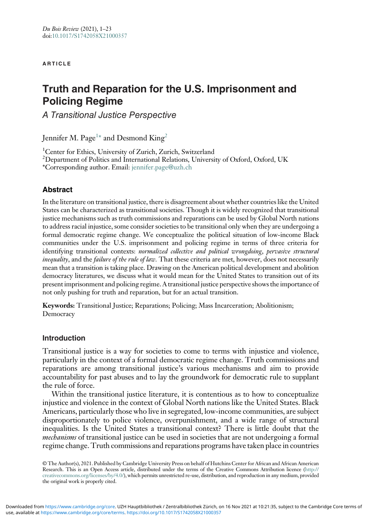#### **ARTICLE**

# Truth and Reparation for the U.S. Imprisonment and Policing Regime

A Transitional Justice Perspective

Jennifer M. Page $^{1\ast}$  $^{1\ast}$  $^{1\ast}$  and Desmond  ${\rm King}^2$  ${\rm King}^2$ 

<span id="page-0-0"></span><sup>1</sup>Center for Ethics, University of Zurich, Zurich, Switzerland

<span id="page-0-2"></span> $^2$ Department of Politics and International Relations, University of Oxford, Oxford, UK

<span id="page-0-1"></span>\*Corresponding author. Email: [jennifer.page@uzh.ch](mailto:jennifer.page@uzh.ch)

## Abstract

In the literature on transitional justice, there is disagreement about whether countries like the United States can be characterized as transitional societies. Though it is widely recognized that transitional justice mechanisms such as truth commissions and reparations can be used by Global North nations to address racial injustice, some consider societies to be transitional only when they are undergoing a formal democratic regime change. We conceptualize the political situation of low-income Black communities under the U.S. imprisonment and policing regime in terms of three criteria for identifying transitional contexts: normalized collective and political wrongdoing, pervasive structural inequality, and the *failure of the rule of law*. That these criteria are met, however, does not necessarily mean that a transition is taking place. Drawing on the American political development and abolition democracy literatures, we discuss what it would mean for the United States to transition out of its present imprisonment and policing regime. A transitional justice perspective shows the importance of not only pushing for truth and reparation, but for an actual transition.

Keywords: Transitional Justice; Reparations; Policing; Mass Incarceration; Abolitionism; Democracy

## Introduction

Transitional justice is a way for societies to come to terms with injustice and violence, particularly in the context of a formal democratic regime change. Truth commissions and reparations are among transitional justice's various mechanisms and aim to provide accountability for past abuses and to lay the groundwork for democratic rule to supplant the rule of force.

Within the transitional justice literature, it is contentious as to how to conceptualize injustice and violence in the context of Global North nations like the United States. Black Americans, particularly those who live in segregated, low-income communities, are subject disproportionately to police violence, overpunishment, and a wide range of structural inequalities. Is the United States a transitional context? There is little doubt that the mechanisms of transitional justice can be used in societies that are not undergoing a formal regime change. Truth commissions and reparations programs have taken place in countries

© The Author(s), 2021. Published by Cambridge University Press on behalf of Hutchins Center for African and African American Research. This is an Open Access article, distributed under the terms of the Creative Commons Attribution licence ([http://](http://creativecommons.org/licenses/by/4.0/) [creativecommons.org/licenses/by/4.0/\)](http://creativecommons.org/licenses/by/4.0/), which permits unrestricted re-use, distribution, and reproduction in any medium, provided the original work is properly cited.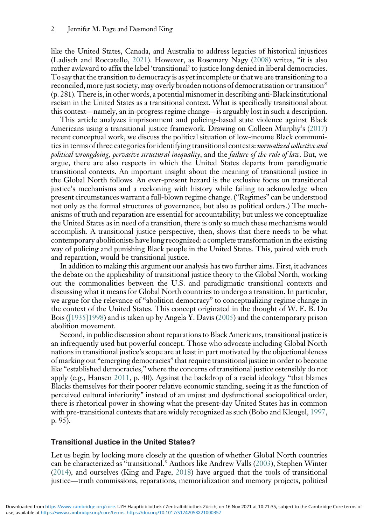like the United States, Canada, and Australia to address legacies of historical injustices (Ladisch and Roccatello, [2021\)](#page-20-0). However, as Rosemary Nagy ([2008](#page-20-1)) writes, "it is also rather awkward to affix the label 'transitional' to justice long denied in liberal democracies. To say that the transition to democracy is as yet incomplete or that we are transitioning to a reconciled, more just society, may overly broaden notions of democratisation or transition" (p. 281). There is, in other words, a potential misnomer in describing anti-Black institutional racism in the United States as a transitional context. What is specifically transitional about this context—namely, an in-progress regime change—is arguably lost in such a description.

This article analyzes imprisonment and policing-based state violence against Black Americans using a transitional justice framework. Drawing on Colleen Murphy's [\(2017](#page-20-2)) recent conceptual work, we discuss the political situation of low-income Black communities in terms of three categories for identifying transitional contexts: normalized collective and political wrongdoing, pervasive structural inequality, and the failure of the rule of law. But, we argue, there are also respects in which the United States departs from paradigmatic transitional contexts. An important insight about the meaning of transitional justice in the Global North follows. An ever-present hazard is the exclusive focus on transitional justice's mechanisms and a reckoning with history while failing to acknowledge when present circumstances warrant a full-blown regime change. ("Regimes" can be understood not only as the formal structures of governance, but also as political orders.) The mechanisms of truth and reparation are essential for accountability; but unless we conceptualize the United States as in need of a transition, there is only so much these mechanisms would accomplish. A transitional justice perspective, then, shows that there needs to be what contemporary abolitionists have long recognized: a complete transformation in the existing way of policing and punishing Black people in the United States. This, paired with truth and reparation, would be transitional justice.

In addition to making this argument our analysis has two further aims. First, it advances the debate on the applicability of transitional justice theory to the Global North, working out the commonalities between the U.S. and paradigmatic transitional contexts and discussing what it means for Global North countries to undergo a transition. In particular, we argue for the relevance of "abolition democracy" to conceptualizing regime change in the context of the United States. This concept originated in the thought of W. E. B. Du Bois [\(\[1935\]1998](#page-18-0)) and is taken up by Angela Y. Davis ([2005](#page-18-1)) and the contemporary prison abolition movement.

Second, in public discussion about reparations to Black Americans, transitional justice is an infrequently used but powerful concept. Those who advocate including Global North nations in transitional justice's scope are at least in part motivated by the objectionableness of marking out "emerging democracies" that require transitional justice in order to become like "established democracies," where the concerns of transitional justice ostensibly do not apply (e.g., Hansen [2011,](#page-19-0) p. 40). Against the backdrop of a racial ideology "that blames Blacks themselves for their poorer relative economic standing, seeing it as the function of perceived cultural inferiority" instead of an unjust and dysfunctional sociopolitical order, there is rhetorical power in showing what the present-day United States has in common with pre-transitional contexts that are widely recognized as such (Bobo and Kleugel, [1997](#page-18-2), p. 95).

#### Transitional Justice in the United States?

Let us begin by looking more closely at the question of whether Global North countries can be characterized as "transitional." Authors like Andrew Valls ([2003](#page-22-0)), Stephen Winter [\(2014\)](#page-22-1), and ourselves (King and Page, [2018\)](#page-20-3) have argued that the tools of transitional justice—truth commissions, reparations, memorialization and memory projects, political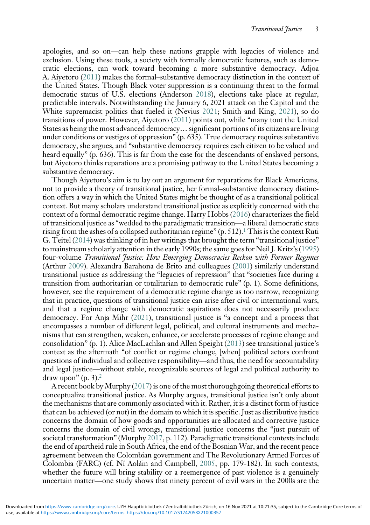apologies, and so on—can help these nations grapple with legacies of violence and exclusion. Using these tools, a society with formally democratic features, such as democratic elections, can work toward becoming a more substantive democracy. Adjoa A. Aiyetoro ([2011\)](#page-17-0) makes the formal–substantive democracy distinction in the context of the United States. Though Black voter suppression is a continuing threat to the formal democratic status of U.S. elections (Anderson [2018\)](#page-17-1), elections take place at regular, predictable intervals. Notwithstanding the January 6, 2021 attack on the Capitol and the White supremacist politics that fueled it (Nevius [2021](#page-21-0); Smith and King, [2021](#page-21-1)), so do transitions of power. However, Aiyetoro [\(2011\)](#page-17-0) points out, while "many tout the United States as being the most advanced democracy… significant portions of its citizens are living under conditions or vestiges of oppression" (p. 635). True democracy requires substantive democracy, she argues, and "substantive democracy requires each citizen to be valued and heard equally" (p. 636). This is far from the case for the descendants of enslaved persons, but Aiyetoro thinks reparations are a promising pathway to the United States becoming a substantive democracy.

Though Aiyetoro's aim is to lay out an argument for reparations for Black Americans, not to provide a theory of transitional justice, her formal–substantive democracy distinction offers a way in which the United States might be thought of as a transitional political context. But many scholars understand transitional justice as explicitly concerned with the context of a formal democratic regime change. Harry Hobbs [\(2016](#page-19-1)) characterizes the field of transitional justice as "wedded to the paradigmatic transition—a liberal democratic state rising from the ashes of a collapsed authoritarian regime"  $(p. 512)$  $(p. 512)$  $(p. 512)$ .<sup>1</sup> This is the context Ruti G. Teitel ([2014](#page-22-2)) was thinking of in her writings that brought the term "transitional justice" to mainstream scholarly attention in the early 1990s; the same goes for Neil J. Kritz's ([1995](#page-20-4)) four-volume Transitional Justice: How Emerging Democracies Reckon with Former Regimes (Arthur [2009\)](#page-17-3). Alexandra Barahona de Brito and colleagues [\(2001\)](#page-18-3) similarly understand transitional justice as addressing the "legacies of repression" that "societies face during a transition from authoritarian or totalitarian to democratic rule" (p. 1). Some definitions, however, see the requirement of a democratic regime change as too narrow, recognizing that in practice, questions of transitional justice can arise after civil or international wars, and that a regime change with democratic aspirations does not necessarily produce democracy. For Anja Mihr [\(2021](#page-20-5)), transitional justice is "a concept and a process that encompasses a number of different legal, political, and cultural instruments and mechanisms that can strengthen, weaken, enhance, or accelerate processes of regime change and consolidation" (p. 1). Alice MacLachlan and Allen Speight [\(2013\)](#page-20-6) see transitional justice's context as the aftermath "of conflict or regime change, [when] political actors confront questions of individual and collective responsibility—and thus, the need for accountability and legal justice—without stable, recognizable sources of legal and political authority to draw upon" (p. 3). $<sup>2</sup>$ </sup>

A recent book by Murphy ([2017](#page-20-2)) is one of the most thoroughgoing theoretical efforts to conceptualize transitional justice. As Murphy argues, transitional justice isn't only about the mechanisms that are commonly associated with it. Rather, it is a distinct form of justice that can be achieved (or not) in the domain to which it is specific. Just as distributive justice concerns the domain of how goods and opportunities are allocated and corrective justice concerns the domain of civil wrongs, transitional justice concerns the "just pursuit of societal transformation" (Murphy [2017](#page-20-2), p. 112). Paradigmatic transitional contexts include the end of apartheid rule in South Africa, the end of the Bosnian War, and the recent peace agreement between the Colombian government and The Revolutionary Armed Forces of Colombia (FARC) (cf. Ní Aoláin and Campbell, [2005,](#page-21-2) pp. 179-182). In such contexts, whether the future will bring stability or a reemergence of past violence is a genuinely uncertain matter—one study shows that ninety percent of civil wars in the 2000s are the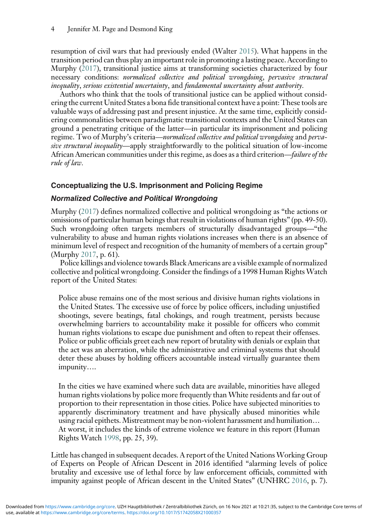resumption of civil wars that had previously ended (Walter [2015](#page-22-3)). What happens in the transition period can thus play an important role in promoting a lasting peace. According to Murphy ([2017](#page-20-2)), transitional justice aims at transforming societies characterized by four necessary conditions: normalized collective and political wrongdoing, pervasive structural inequality, serious existential uncertainty, and fundamental uncertainty about authority.

Authors who think that the tools of transitional justice can be applied without considering the current United States a bona fide transitional context have a point: These tools are valuable ways of addressing past and present injustice. At the same time, explicitly considering commonalities between paradigmatic transitional contexts and the United States can ground a penetrating critique of the latter—in particular its imprisonment and policing regime. Two of Murphy's criteria—normalized collective and political wrongdoing and pervasive structural inequality—apply straightforwardly to the political situation of low-income African American communities under this regime, as does as a third criterion—failure of the rule of law.

# Conceptualizing the U.S. Imprisonment and Policing Regime

## Normalized Collective and Political Wrongdoing

Murphy [\(2017](#page-20-2)) defines normalized collective and political wrongdoing as "the actions or omissions of particular human beings that result in violations of human rights" (pp. 49-50). Such wrongdoing often targets members of structurally disadvantaged groups—"the vulnerability to abuse and human rights violations increases when there is an absence of minimum level of respect and recognition of the humanity of members of a certain group" (Murphy [2017](#page-20-2), p. 61).

Police killings and violence towards Black Americans are a visible example of normalized collective and political wrongdoing. Consider the findings of a 1998 Human Rights Watch report of the United States:

Police abuse remains one of the most serious and divisive human rights violations in the United States. The excessive use of force by police officers, including unjustified shootings, severe beatings, fatal chokings, and rough treatment, persists because overwhelming barriers to accountability make it possible for officers who commit human rights violations to escape due punishment and often to repeat their offenses. Police or public officials greet each new report of brutality with denials or explain that the act was an aberration, while the administrative and criminal systems that should deter these abuses by holding officers accountable instead virtually guarantee them impunity….

In the cities we have examined where such data are available, minorities have alleged human rights violations by police more frequently than White residents and far out of proportion to their representation in those cities. Police have subjected minorities to apparently discriminatory treatment and have physically abused minorities while using racial epithets. Mistreatment may be non-violent harassment and humiliation… At worst, it includes the kinds of extreme violence we feature in this report (Human Rights Watch [1998,](#page-19-2) pp. 25, 39).

Little has changed in subsequent decades. A report of the United Nations Working Group of Experts on People of African Descent in 2016 identified "alarming levels of police brutality and excessive use of lethal force by law enforcement officials, committed with impunity against people of African descent in the United States" (UNHRC [2016](#page-22-4), p. 7).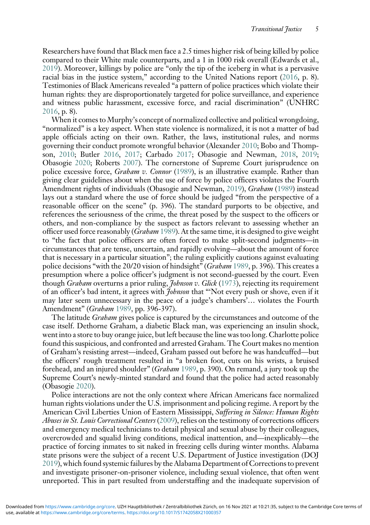Researchers have found that Black men face a 2.5 times higher risk of being killed by police compared to their White male counterparts, and a 1 in 1000 risk overall (Edwards et al., [2019](#page-18-4)). Moreover, killings by police are "only the tip of the iceberg in what is a pervasive racial bias in the justice system," according to the United Nations report [\(2016,](#page-22-4) p. 8). Testimonies of Black Americans revealed "a pattern of police practices which violate their human rights: they are disproportionately targeted for police surveillance, and experience and witness public harassment, excessive force, and racial discrimination" (UNHRC [2016](#page-22-4), p. 8).

When it comes to Murphy's concept of normalized collective and political wrongdoing, "normalized" is a key aspect. When state violence is normalized, it is not a matter of bad apple officials acting on their own. Rather, the laws, institutional rules, and norms governing their conduct promote wrongful behavior (Alexander [2010;](#page-17-5) Bobo and Thompson, [2010](#page-18-5); Butler [2016,](#page-18-6) [2017;](#page-18-7) Carbado [2017;](#page-18-8) Obasogie and Newman, [2018,](#page-21-3) [2019;](#page-21-4) Obasogie [2020](#page-21-5); Roberts [2007](#page-21-6)). The cornerstone of Supreme Court jurisprudence on police excessive force, *Graham v. Connor* [\(1989\)](#page-19-3), is an illustrative example. Rather than giving clear guidelines about when the use of force by police officers violates the Fourth Amendment rights of individuals (Obasogie and Newman, [2019](#page-21-4)), Graham ([1989](#page-19-3)) instead lays out a standard where the use of force should be judged "from the perspective of a reasonable officer on the scene" (p. 396). The standard purports to be objective, and references the seriousness of the crime, the threat posed by the suspect to the officers or others, and non-compliance by the suspect as factors relevant to assessing whether an officer used force reasonably (*Graham* [1989\)](#page-19-3). At the same time, it is designed to give weight to "the fact that police officers are often forced to make split-second judgments—in circumstances that are tense, uncertain, and rapidly evolving—about the amount of force that is necessary in a particular situation"; the ruling explicitly cautions against evaluating police decisions "with the 20/20 vision of hindsight" (Graham [1989](#page-19-3), p. 396). This creates a presumption where a police officer's judgment is not second-guessed by the court. Even though *Graham* overturns a prior ruling, *Johnson v. Glick* ([1973](#page-20-7)), rejecting its requirement of an officer's bad intent, it agrees with *Johnson* that "'Not every push or shove, even if it may later seem unnecessary in the peace of a judge's chambers'… violates the Fourth Amendment" (Graham [1989,](#page-19-3) pp. 396-397).

The latitude *Graham* gives police is captured by the circumstances and outcome of the case itself. Dethorne Graham, a diabetic Black man, was experiencing an insulin shock, went into a store to buy orange juice, but left because the line was too long. Charlotte police found this suspicious, and confronted and arrested Graham. The Court makes no mention of Graham's resisting arrest—indeed, Graham passed out before he was handcuffed—but the officers' rough treatment resulted in "a broken foot, cuts on his wrists, a bruised forehead, and an injured shoulder" (Graham [1989,](#page-19-3) p. 390). On remand, a jury took up the Supreme Court's newly-minted standard and found that the police had acted reasonably (Obasogie [2020\)](#page-21-5).

Police interactions are not the only context where African Americans face normalized human rights violations under the U.S. imprisonment and policing regime. A report by the American Civil Liberties Union of Eastern Mississippi, Suffering in Silence: Human Rights Abuses in St. Louis Correctional Centers ([2009](#page-17-6)), relies on the testimony of corrections officers and emergency medical technicians to detail physical and sexual abuse by their colleagues, overcrowded and squalid living conditions, medical inattention, and—inexplicably—the practice of forcing inmates to sit naked in freezing cells during winter months. Alabama state prisons were the subject of a recent U.S. Department of Justice investigation (DOJ [2019](#page-18-9)), which found systemic failures by the Alabama Department of Corrections to prevent and investigate prisoner-on-prisoner violence, including sexual violence, that often went unreported. This in part resulted from understaffing and the inadequate supervision of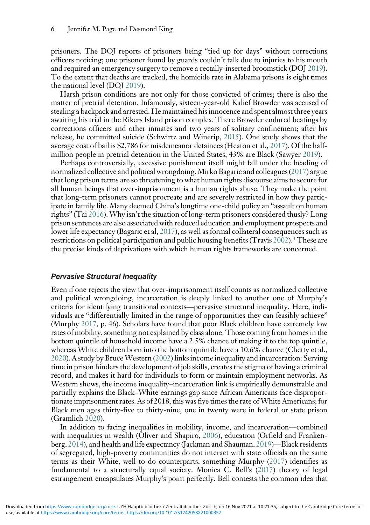prisoners. The DOJ reports of prisoners being "tied up for days" without corrections officers noticing; one prisoner found by guards couldn't talk due to injuries to his mouth and required an emergency surgery to remove a rectally-inserted broomstick (DOJ [2019\)](#page-18-9). To the extent that deaths are tracked, the homicide rate in Alabama prisons is eight times the national level (DOJ [2019\)](#page-18-9).

Harsh prison conditions are not only for those convicted of crimes; there is also the matter of pretrial detention. Infamously, sixteen-year-old Kalief Browder was accused of stealing a backpack and arrested. He maintained his innocence and spent almost three years awaiting his trial in the Rikers Island prison complex. There Browder endured beatings by corrections officers and other inmates and two years of solitary confinement; after his release, he committed suicide (Schwirtz and Winerip, [2015\)](#page-21-7). One study shows that the average cost of bail is \$2,786 for misdemeanor detainees (Heaton et al., [2017\)](#page-19-4). Of the halfmillion people in pretrial detention in the United States, 43% are Black (Sawyer [2019](#page-21-8)).

Perhaps controversially, excessive punishment itself might fall under the heading of normalized collective and political wrongdoing. Mirko Bagaric and colleagues [\(2017\)](#page-17-7) argue that long prison terms are so threatening to what human rights discourse aims to secure for all human beings that over-imprisonment is a human rights abuse. They make the point that long-term prisoners cannot procreate and are severely restricted in how they participate in family life. Many deemed China's longtime one-child policy an "assault on human rights" (Tai [2016](#page-22-5)). Why isn't the situation of long-term prisoners considered thusly? Long prison sentences are also associated with reduced education and employment prospects and lower life expectancy (Bagaric et al, [2017](#page-17-7)), as well as formal collateral consequences such as restrictions on political participation and public housing benefits (Travis [2002\)](#page-22-6).<sup>[3](#page-17-8)</sup> These are the precise kinds of deprivations with which human rights frameworks are concerned.

#### Pervasive Structural Inequality

Even if one rejects the view that over-imprisonment itself counts as normalized collective and political wrongdoing, incarceration is deeply linked to another one of Murphy's criteria for identifying transitional contexts—pervasive structural inequality. Here, individuals are "differentially limited in the range of opportunities they can feasibly achieve" (Murphy [2017,](#page-20-2) p. 46). Scholars have found that poor Black children have extremely low rates of mobility, something not explained by class alone. Those coming from homes in the bottom quintile of household income have a 2.5% chance of making it to the top quintile, whereas White children born into the bottom quintile have a 10.6% chance (Chetty et al., [2020](#page-18-10)). A study by Bruce Western [\(2002\)](#page-22-7) links income inequality and incarceration: Serving time in prison hinders the development of job skills, creates the stigma of having a criminal record, and makes it hard for individuals to form or maintain employment networks. As Western shows, the income inequality–incarceration link is empirically demonstrable and partially explains the Black–White earnings gap since African Americans face disproportionate imprisonment rates. As of 2018, this was five times the rate of White Americans; for Black men ages thirty-five to thirty-nine, one in twenty were in federal or state prison (Gramlich [2020\)](#page-19-5).

In addition to facing inequalities in mobility, income, and incarceration—combined with inequalities in wealth (Oliver and Shapiro, [2006\)](#page-21-9), education (Orfield and Frankenberg, [2014](#page-21-10)), and health and life expectancy (Jackman and Shauman, [2019\)](#page-20-8)—Black residents of segregated, high-poverty communities do not interact with state officials on the same terms as their White, well-to-do counterparts, something Murphy [\(2017\)](#page-20-2) identifies as fundamental to a structurally equal society. Monica C. Bell's ([2017](#page-17-9)) theory of legal estrangement encapsulates Murphy's point perfectly. Bell contests the common idea that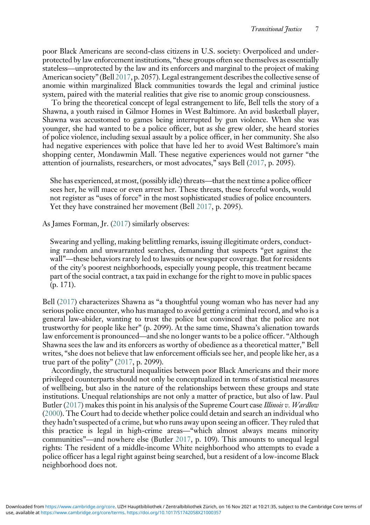poor Black Americans are second-class citizens in U.S. society: Overpoliced and underprotected by law enforcement institutions, "these groups often see themselves as essentially stateless—unprotected by the law and its enforcers and marginal to the project of making American society" (Bell [2017](#page-17-9), p. 2057). Legal estrangement describes the collective sense of anomie within marginalized Black communities towards the legal and criminal justice system, paired with the material realities that give rise to anomic group consciousness.

To bring the theoretical concept of legal estrangement to life, Bell tells the story of a Shawna, a youth raised in Gilmor Homes in West Baltimore. An avid basketball player, Shawna was accustomed to games being interrupted by gun violence. When she was younger, she had wanted to be a police officer, but as she grew older, she heard stories of police violence, including sexual assault by a police officer, in her community. She also had negative experiences with police that have led her to avoid West Baltimore's main shopping center, Mondawmin Mall. These negative experiences would not garner "the attention of journalists, researchers, or most advocates," says Bell [\(2017,](#page-17-9) p. 2095).

She has experienced, at most, (possibly idle) threats—that the next time a police officer sees her, he will mace or even arrest her. These threats, these forceful words, would not register as "uses of force" in the most sophisticated studies of police encounters. Yet they have constrained her movement (Bell [2017](#page-17-9), p. 2095).

As James Forman, Jr. [\(2017\)](#page-19-6) similarly observes:

Swearing and yelling, making belittling remarks, issuing illegitimate orders, conducting random and unwarranted searches, demanding that suspects "get against the wall"—these behaviors rarely led to lawsuits or newspaper coverage. But for residents of the city's poorest neighborhoods, especially young people, this treatment became part of the social contract, a tax paid in exchange for the right to move in public spaces (p. 171).

Bell [\(2017](#page-17-9)) characterizes Shawna as "a thoughtful young woman who has never had any serious police encounter, who has managed to avoid getting a criminal record, and who is a general law-abider, wanting to trust the police but convinced that the police are not trustworthy for people like her" (p. 2099). At the same time, Shawna's alienation towards law enforcement is pronounced—and she no longer wants to be a police officer. "Although Shawna sees the law and its enforcers as worthy of obedience as a theoretical matter," Bell writes, "she does not believe that law enforcement officials see her, and people like her, as a true part of the polity" [\(2017,](#page-17-9) p. 2099).

Accordingly, the structural inequalities between poor Black Americans and their more privileged counterparts should not only be conceptualized in terms of statistical measures of wellbeing, but also in the nature of the relationships between these groups and state institutions. Unequal relationships are not only a matter of practice, but also of law. Paul Butler ([2017](#page-18-7)) makes this point in his analysis of the Supreme Court case Illinois v. Wardlow ([2000](#page-19-7)). The Court had to decide whether police could detain and search an individual who they hadn't suspected of a crime, but who runs away upon seeing an officer. They ruled that this practice is legal in high-crime areas—"which almost always means minority communities"—and nowhere else (Butler [2017](#page-18-7), p. 109). This amounts to unequal legal rights: The resident of a middle-income White neighborhood who attempts to evade a police officer has a legal right against being searched, but a resident of a low-income Black neighborhood does not.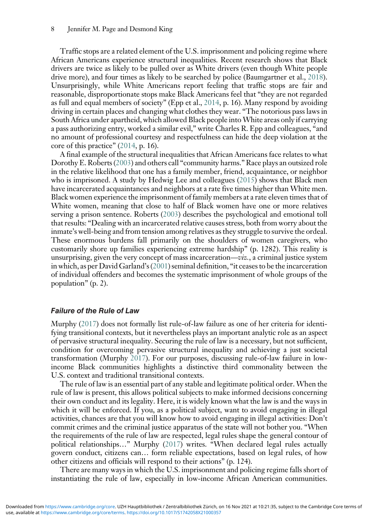Traffic stops are a related element of the U.S. imprisonment and policing regime where African Americans experience structural inequalities. Recent research shows that Black drivers are twice as likely to be pulled over as White drivers (even though White people drive more), and four times as likely to be searched by police (Baumgartner et al., [2018\)](#page-17-10). Unsurprisingly, while White Americans report feeling that traffic stops are fair and reasonable, disproportionate stops make Black Americans feel that "they are not regarded as full and equal members of society" (Epp et al., [2014](#page-19-8), p. 16). Many respond by avoiding driving in certain places and changing what clothes they wear. "The notorious pass laws in South Africa under apartheid, which allowed Black people intoWhite areas only if carrying a pass authorizing entry, worked a similar evil," write Charles R. Epp and colleagues, "and no amount of professional courtesy and respectfulness can hide the deep violation at the core of this practice" [\(2014](#page-19-8), p. 16).

A final example of the structural inequalities that African Americans face relates to what Dorothy E. Roberts [\(2003\)](#page-21-11) and others call "community harms."Race plays an outsized role in the relative likelihood that one has a family member, friend, acquaintance, or neighbor who is imprisoned. A study by Hedwig Lee and colleagues [\(2015\)](#page-20-9) shows that Black men have incarcerated acquaintances and neighbors at a rate five times higher than White men. Black women experience the imprisonment of family members at a rate eleven times that of White women, meaning that close to half of Black women have one or more relatives serving a prison sentence. Roberts [\(2003\)](#page-21-11) describes the psychological and emotional toll that results: "Dealing with an incarcerated relative causes stress, both from worry about the inmate's well-being and from tension among relatives as they struggle to survive the ordeal. These enormous burdens fall primarily on the shoulders of women caregivers, who customarily shore up families experiencing extreme hardship" (p. 1282). This reality is unsurprising, given the very concept of mass incarceration—viz., a criminal justice system in which, as per David Garland's ([2001](#page-19-9)) seminal definition, "it ceases to be the incarceration of individual offenders and becomes the systematic imprisonment of whole groups of the population" (p. 2).

#### Failure of the Rule of Law

Murphy [\(2017\)](#page-20-2) does not formally list rule-of-law failure as one of her criteria for identifying transitional contexts, but it nevertheless plays an important analytic role as an aspect of pervasive structural inequality. Securing the rule of law is a necessary, but not sufficient, condition for overcoming pervasive structural inequality and achieving a just societal transformation (Murphy [2017](#page-20-2)). For our purposes, discussing rule-of-law failure in lowincome Black communities highlights a distinctive third commonality between the U.S. context and traditional transitional contexts.

The rule of law is an essential part of any stable and legitimate political order. When the rule of law is present, this allows political subjects to make informed decisions concerning their own conduct and its legality. Here, it is widely known what the law is and the ways in which it will be enforced. If you, as a political subject, want to avoid engaging in illegal activities, chances are that you will know how to avoid engaging in illegal activities: Don't commit crimes and the criminal justice apparatus of the state will not bother you. "When the requirements of the rule of law are respected, legal rules shape the general contour of political relationships…" Murphy [\(2017\)](#page-20-2) writes. "When declared legal rules actually govern conduct, citizens can… form reliable expectations, based on legal rules, of how other citizens and officials will respond to their actions" (p. 124).

There are many ways in which the U.S. imprisonment and policing regime falls short of instantiating the rule of law, especially in low-income African American communities.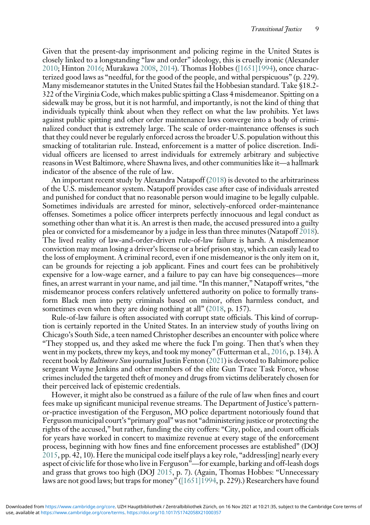Given that the present-day imprisonment and policing regime in the United States is closely linked to a longstanding "law and order" ideology, this is cruelly ironic (Alexander [2010](#page-17-5); Hinton [2016;](#page-19-10) Murakawa [2008,](#page-20-10) [2014](#page-20-11)). Thomas Hobbes [\(\[1651\]1994](#page-19-11)), once characterized good laws as "needful, for the good of the people, and withal perspicuous" (p. 229). Many misdemeanor statutes in the United States fail the Hobbesian standard. Take §18.2- 322 of the Virginia Code, which makes public spitting a Class 4 misdemeanor. Spitting on a sidewalk may be gross, but it is not harmful, and importantly, is not the kind of thing that individuals typically think about when they reflect on what the law prohibits. Yet laws against public spitting and other order maintenance laws converge into a body of criminalized conduct that is extremely large. The scale of order-maintenance offenses is such that they could never be regularly enforced across the broader U.S. population without this smacking of totalitarian rule. Instead, enforcement is a matter of police discretion. Individual officers are licensed to arrest individuals for extremely arbitrary and subjective reasons in West Baltimore, where Shawna lives, and other communities like it—a hallmark indicator of the absence of the rule of law.

An important recent study by Alexandra Natapoff [\(2018\)](#page-21-12) is devoted to the arbitrariness of the U.S. misdemeanor system. Natapoff provides case after case of individuals arrested and punished for conduct that no reasonable person would imagine to be legally culpable. Sometimes individuals are arrested for minor, selectively-enforced order-maintenance offenses. Sometimes a police officer interprets perfectly innocuous and legal conduct as something other than what it is. An arrest is then made, the accused pressured into a guilty plea or convicted for a misdemeanor by a judge in less than three minutes (Natapoff [2018\)](#page-21-12). The lived reality of law-and-order-driven rule-of-law failure is harsh. A misdemeanor conviction may mean losing a driver's license or a brief prison stay, which can easily lead to the loss of employment. A criminal record, even if one misdemeanor is the only item on it, can be grounds for rejecting a job applicant. Fines and court fees can be prohibitively expensive for a low-wage earner, and a failure to pay can have big consequences—more fines, an arrest warrant in your name, and jail time. "In this manner," Natapoff writes, "the misdemeanor process confers relatively unfettered authority on police to formally transform Black men into petty criminals based on minor, often harmless conduct, and sometimes even when they are doing nothing at all" [\(2018](#page-21-12), p. 157).

Rule-of-law failure is often associated with corrupt state officials. This kind of corruption is certainly reported in the United States. In an interview study of youths living on Chicago's South Side, a teen named Christopher describes an encounter with police where "They stopped us, and they asked me where the fuck I'm going. Then that's when they went in my pockets, threw my keys, and took my money" (Futterman et al., [2016,](#page-19-12) p. 134). A recent book by Baltimore Sun journalist Justin Fenton ([2021\)](#page-19-13) is devoted to Baltimore police sergeant Wayne Jenkins and other members of the elite Gun Trace Task Force, whose crimes included the targeted theft of money and drugs from victims deliberately chosen for their perceived lack of epistemic credentials.

However, it might also be construed as a failure of the rule of law when fines and court fees make up significant municipal revenue streams. The Department of Justice's patternor-practice investigation of the Ferguson, MO police department notoriously found that Ferguson municipal court's "primary goal"was not "administering justice or protecting the rights of the accused," but rather, funding the city coffers: "City, police, and court officials for years have worked in concert to maximize revenue at every stage of the enforcement process, beginning with how fines and fine enforcement processes are established" (DOJ [2015](#page-18-11), pp. 42, 10). Here the municipal code itself plays a key role, "address[ing] nearly every aspect of civic life for those who live in Ferguson"—for example, barking and off-leash dogs and grass that grows too high (DOJ [2015,](#page-18-11) p. 7). (Again, Thomas Hobbes: "Unnecessary laws are not good laws; but traps for money" [\(\[1651\]1994](#page-19-11), p. 229).) Researchers have found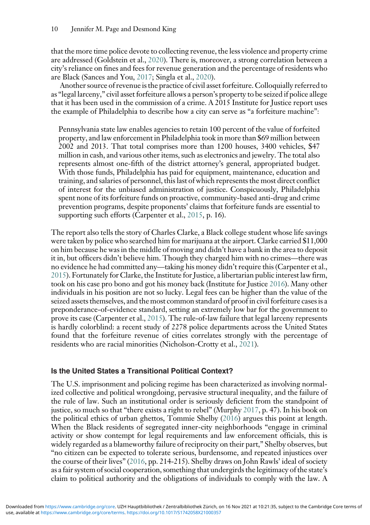that the more time police devote to collecting revenue, the less violence and property crime are addressed (Goldstein et al., [2020\)](#page-19-14). There is, moreover, a strong correlation between a city's reliance on fines and fees for revenue generation and the percentage of residents who are Black (Sances and You, [2017;](#page-21-13) Singla et al., [2020\)](#page-21-14).

Another source of revenue is the practice of civil asset forfeiture. Colloquially referred to as "legal larceny," civil asset forfeiture allows a person's property to be seized if police allege that it has been used in the commission of a crime. A 2015 Institute for Justice report uses the example of Philadelphia to describe how a city can serve as "a forfeiture machine":

Pennsylvania state law enables agencies to retain 100 percent of the value of forfeited property, and law enforcement in Philadelphia took in more than \$69 million between 2002 and 2013. That total comprises more than 1200 houses, 3400 vehicles, \$47 million in cash, and various other items, such as electronics and jewelry. The total also represents almost one-fifth of the district attorney's general, appropriated budget. With those funds, Philadelphia has paid for equipment, maintenance, education and training, and salaries of personnel, this last of which represents the most direct conflict of interest for the unbiased administration of justice. Conspicuously, Philadelphia spent none of its forfeiture funds on proactive, community-based anti-drug and crime prevention programs, despite proponents' claims that forfeiture funds are essential to supporting such efforts (Carpenter et al., [2015](#page-18-12), p. 16).

The report also tells the story of Charles Clarke, a Black college student whose life savings were taken by police who searched him for marijuana at the airport. Clarke carried \$11,000 on him because he was in the middle of moving and didn't have a bank in the area to deposit it in, but officers didn't believe him. Though they charged him with no crimes—there was no evidence he had committed any—taking his money didn't require this (Carpenter et al., [2015](#page-18-12)). Fortunately for Clarke, the Institute for Justice, a libertarian public interest law firm, took on his case pro bono and got his money back (Institute for Justice [2016\)](#page-20-12). Many other individuals in his position are not so lucky. Legal fees can be higher than the value of the seized assets themselves, and the most common standard of proof in civil forfeiture cases is a preponderance-of-evidence standard, setting an extremely low bar for the government to prove its case (Carpenter et al., [2015\)](#page-18-12). The rule-of-law failure that legal larceny represents is hardly colorblind: a recent study of 2278 police departments across the United States found that the forfeiture revenue of cities correlates strongly with the percentage of residents who are racial minorities (Nicholson-Crotty et al., [2021](#page-21-15)).

## Is the United States a Transitional Political Context?

The U.S. imprisonment and policing regime has been characterized as involving normalized collective and political wrongdoing, pervasive structural inequality, and the failure of the rule of law. Such an institutional order is seriously deficient from the standpoint of justice, so much so that "there exists a right to rebel" (Murphy [2017,](#page-20-2) p. 47). In his book on the political ethics of urban ghettos, Tommie Shelby [\(2016](#page-21-16)) argues this point at length. When the Black residents of segregated inner-city neighborhoods "engage in criminal activity or show contempt for legal requirements and law enforcement officials, this is widely regarded as a blameworthy failure of reciprocity on their part," Shelby observes, but "no citizen can be expected to tolerate serious, burdensome, and repeated injustices over the course of their lives" ([2016](#page-21-16), pp. 214-215). Shelby draws on John Rawls' ideal of society as a fair system of social cooperation, something that undergirds the legitimacy of the state's claim to political authority and the obligations of individuals to comply with the law. A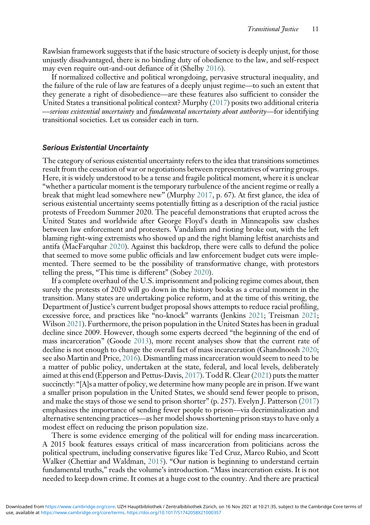Rawlsian framework suggests that if the basic structure of society is deeply unjust, for those unjustly disadvantaged, there is no binding duty of obedience to the law, and self-respect may even require out-and-out defiance of it (Shelby [2016](#page-21-16)).

If normalized collective and political wrongdoing, pervasive structural inequality, and the failure of the rule of law are features of a deeply unjust regime—to such an extent that they generate a right of disobedience—are these features also sufficient to consider the United States a transitional political context? Murphy ([2017](#page-20-2)) posits two additional criteria —serious existential uncertainty and fundamental uncertainty about authority—for identifying transitional societies. Let us consider each in turn.

## Serious Existential Uncertainty

The category of serious existential uncertainty refers to the idea that transitions sometimes result from the cessation of war or negotiations between representatives of warring groups. Here, it is widely understood to be a tense and fragile political moment, where it is unclear "whether a particular moment is the temporary turbulence of the ancient regime or really a break that might lead somewhere new" (Murphy [2017](#page-20-2), p. 67). At first glance, the idea of serious existential uncertainty seems potentially fitting as a description of the racial justice protests of Freedom Summer 2020. The peaceful demonstrations that erupted across the United States and worldwide after George Floyd's death in Minneapolis saw clashes between law enforcement and protesters. Vandalism and rioting broke out, with the left blaming right-wing extremists who showed up and the right blaming leftist anarchists and antifa (MacFarquhar [2020](#page-20-13)). Against this backdrop, there were calls to defund the police that seemed to move some public officials and law enforcement budget cuts were implemented. There seemed to be the possibility of transformative change, with protestors telling the press, "This time is different" (Sobey [2020\)](#page-22-8).

If a complete overhaul of the U.S. imprisonment and policing regime comes about, then surely the protests of 2020 will go down in the history books as a crucial moment in the transition. Many states are undertaking police reform, and at the time of this writing, the Department of Justice's current budget proposal shows attempts to reduce racial profiling, excessive force, and practices like "no-knock" warrants (Jenkins [2021;](#page-20-14) Treisman [2021;](#page-22-9) Wilson [2021](#page-22-10)). Furthermore, the prison population in the United States has been in gradual decline since 2009. However, though some experts decreed "the beginning of the end of mass incarceration" (Goode [2013\)](#page-19-15), more recent analyses show that the current rate of decline is not enough to change the overall fact of mass incarceration (Ghandnoosh [2020;](#page-19-16) see also Martin and Price, [2016\)](#page-20-15). Dismantling mass incarceration would seem to need to be a matter of public policy, undertaken at the state, federal, and local levels, deliberately aimed at this end (Epperson and Pettus-Davis, [2017\)](#page-19-17). Todd R. Clear [\(2021\)](#page-18-13) puts the matter succinctly: "[A]s a matter of policy, we determine how many people are in prison. If we want a smaller prison population in the United States, we should send fewer people to prison, and make the stays of those we send to prison shorter" (p. 257). Evelyn J. Patterson ([2017](#page-21-17)) emphasizes the importance of sending fewer people to prison—via decriminalization and alternative sentencing practices—as her model shows shortening prison stays to have only a modest effect on reducing the prison population size.

There is some evidence emerging of the political will for ending mass incarceration. A 2015 book features essays critical of mass incarceration from politicians across the political spectrum, including conservative figures like Ted Cruz, Marco Rubio, and Scott Walker (Chettiar and Waldman, [2015\)](#page-18-14). "Our nation is beginning to understand certain fundamental truths," reads the volume's introduction. "Mass incarceration exists. It is not needed to keep down crime. It comes at a huge cost to the country. And there are practical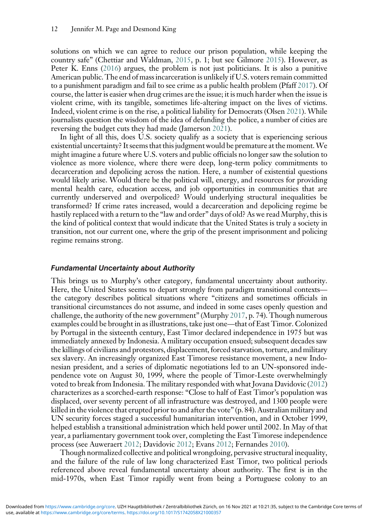solutions on which we can agree to reduce our prison population, while keeping the country safe" (Chettiar and Waldman, [2015,](#page-18-14) p. 1; but see Gilmore [2015](#page-19-18)). However, as Peter K. Enns ([2016\)](#page-19-19) argues, the problem is not just politicians. It is also a punitive American public. The end of mass incarceration is unlikely if U.S. voters remain committed to a punishment paradigm and fail to see crime as a public health problem (Pfaff [2017](#page-21-18)). Of course, the latter is easier when drug crimes are the issue; it is much harder when the issue is violent crime, with its tangible, sometimes life-altering impact on the lives of victims. Indeed, violent crime is on the rise, a political liability for Democrats (Olsen [2021](#page-21-19)). While journalists question the wisdom of the idea of defunding the police, a number of cities are reversing the budget cuts they had made (Jamerson [2021\)](#page-18-15).

In light of all this, does U.S. society qualify as a society that is experiencing serious existential uncertainty? It seems that this judgment would be premature at the moment.We might imagine a future where U.S. voters and public officials no longer saw the solution to violence as more violence, where there were deep, long-term policy commitments to decarceration and depolicing across the nation. Here, a number of existential questions would likely arise. Would there be the political will, energy, and resources for providing mental health care, education access, and job opportunities in communities that are currently underserved and overpoliced? Would underlying structural inequalities be transformed? If crime rates increased, would a decarceration and depolicing regime be hastily replaced with a return to the "law and order" days of old? As we read Murphy, this is the kind of political context that would indicate that the United States is truly a society in transition, not our current one, where the grip of the present imprisonment and policing regime remains strong.

### Fundamental Uncertainty about Authority

This brings us to Murphy's other category, fundamental uncertainty about authority. Here, the United States seems to depart strongly from paradigm transitional contexts the category describes political situations where "citizens and sometimes officials in transitional circumstances do not assume, and indeed in some cases openly question and challenge, the authority of the new government" (Murphy [2017](#page-20-2), p. 74). Though numerous examples could be brought in as illustrations, take just one—that of East Timor. Colonized by Portugal in the sixteenth century, East Timor declared independence in 1975 but was immediately annexed by Indonesia. A military occupation ensued; subsequent decades saw the killings of civilians and protestors, displacement, forced starvation, torture, and military sex slavery. An increasingly organized East Timorese resistance movement, a new Indonesian president, and a series of diplomatic negotiations led to an UN-sponsored independence vote on August 30, 1999, where the people of Timor-Leste overwhelmingly voted to break from Indonesia. The military responded with what Jovana Davidovic [\(2012](#page-18-16)) characterizes as a scorched-earth response: "Close to half of East Timor's population was displaced, over seventy percent of all infrastructure was destroyed, and 1300 people were killed in the violence that erupted prior to and after the vote" (p. 84). Australian military and UN security forces staged a successful humanitarian intervention, and in October 1999, helped establish a transitional administration which held power until 2002. In May of that year, a parliamentary government took over, completing the East Timorese independence process (see Auweraert [2012;](#page-17-11) Davidovic [2012;](#page-18-16) Evans [2012;](#page-19-20) Fernandes [2010](#page-19-21)).

Though normalized collective and political wrongdoing, pervasive structural inequality, and the failure of the rule of law long characterized East Timor, two political periods referenced above reveal fundamental uncertainty about authority. The first is in the mid-1970s, when East Timor rapidly went from being a Portuguese colony to an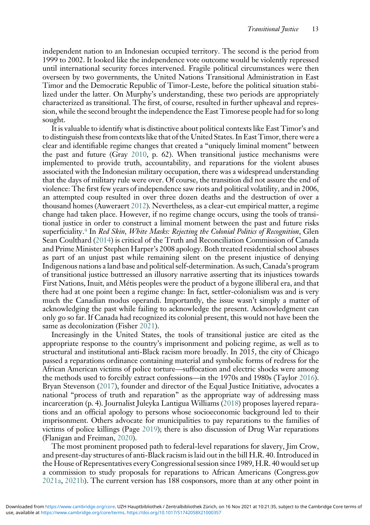independent nation to an Indonesian occupied territory. The second is the period from 1999 to 2002. It looked like the independence vote outcome would be violently repressed until international security forces intervened. Fragile political circumstances were then overseen by two governments, the United Nations Transitional Administration in East Timor and the Democratic Republic of Timor-Leste, before the political situation stabilized under the latter. On Murphy's understanding, these two periods are appropriately characterized as transitional. The first, of course, resulted in further upheaval and repression, while the second brought the independence the East Timorese people had for so long sought.

It is valuable to identify what is distinctive about political contexts like East Timor's and to distinguish these from contexts like that of the United States. In East Timor, there were a clear and identifiable regime changes that created a "uniquely liminal moment" between the past and future (Gray [2010](#page-19-22), p. 62). When transitional justice mechanisms were implemented to provide truth, accountability, and reparations for the violent abuses associated with the Indonesian military occupation, there was a widespread understanding that the days of military rule were over. Of course, the transition did not assure the end of violence: The first few years of independence saw riots and political volatility, and in 2006, an attempted coup resulted in over three dozen deaths and the destruction of over a thousand homes (Auweraert [2012](#page-17-11)). Nevertheless, as a clear-cut empirical matter, a regime change had taken place. However, if no regime change occurs, using the tools of transitional justice in order to construct a liminal moment between the past and future risks superficiality.<sup>[4](#page-17-12)</sup> In *Red Skin, White Masks: Rejecting the Colonial Politics of Recognition*, Glen Sean Coulthard ([2014\)](#page-18-17) is critical of the Truth and Reconciliation Commission of Canada and Prime Minister Stephen Harper's 2008 apology. Both treated residential school abuses as part of an unjust past while remaining silent on the present injustice of denying Indigenous nations a land base and political self-determination. As such, Canada's program of transitional justice buttressed an illusory narrative asserting that its injustices towards First Nations, Inuit, and Métis peoples were the product of a bygone illiberal era, and that there had at one point been a regime change: In fact, settler-colonialism was and is very much the Canadian modus operandi. Importantly, the issue wasn't simply a matter of acknowledging the past while failing to acknowledge the present. Acknowledgment can only go so far. If Canada had recognized its colonial present, this would not have been the same as decolonization (Fisher [2021\)](#page-19-23).

Increasingly in the United States, the tools of transitional justice are cited as the appropriate response to the country's imprisonment and policing regime, as well as to structural and institutional anti-Black racism more broadly. In 2015, the city of Chicago passed a reparations ordinance containing material and symbolic forms of redress for the African American victims of police torture—suffocation and electric shocks were among the methods used to forcibly extract confessions—in the 1970s and 1980s (Taylor [2016\)](#page-22-11). Bryan Stevenson ([2017](#page-22-12)), founder and director of the Equal Justice Initiative, advocates a national "process of truth and reparation" as the appropriate way of addressing mass incarceration (p. 4). Journalist Juleyka Lantigua Williams ([2018](#page-22-13)) proposes layered reparations and an official apology to persons whose socioeconomic background led to their imprisonment. Others advocate for municipalities to pay reparations to the families of victims of police killings (Page [2019\)](#page-21-20); there is also discussion of Drug War reparations (Flanigan and Freiman, [2020\)](#page-19-24).

The most prominent proposed path to federal-level reparations for slavery, Jim Crow, and present-day structures of anti-Black racism is laid out in the bill H.R. 40. Introduced in the House of Representatives every Congressional session since 1989, H.R. 40 would set up a commission to study proposals for reparations to African Americans (Congress.gov [2021a](#page-18-18), [2021b](#page-18-19)). The current version has 188 cosponsors, more than at any other point in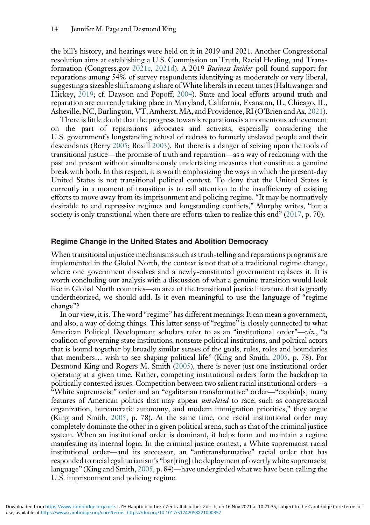the bill's history, and hearings were held on it in 2019 and 2021. Another Congressional resolution aims at establishing a U.S. Commission on Truth, Racial Healing, and Transformation (Congress.gov [2021c](#page-18-20), [2021d\)](#page-18-21). A 2019 Business Insider poll found support for reparations among 54% of survey respondents identifying as moderately or very liberal, suggesting a sizeable shift among a share ofWhite liberals in recent times (Haltiwanger and Hickey, [2019;](#page-19-25) cf. Dawson and Popoff, [2004](#page-18-22)). State and local efforts around truth and reparation are currently taking place in Maryland, California, Evanston, IL, Chicago, IL, Asheville, NC, Burlington, VT, Amherst, MA, and Providence, RI (O'Brien and Ax, [2021\)](#page-21-21).

There is little doubt that the progress towards reparations is a momentous achievement on the part of reparations advocates and activists, especially considering the U.S. government's longstanding refusal of redress to formerly enslaved people and their descendants (Berry [2005;](#page-18-23) Boxill [2003](#page-18-24)). But there is a danger of seizing upon the tools of transitional justice—the promise of truth and reparation—as a way of reckoning with the past and present without simultaneously undertaking measures that constitute a genuine break with both. In this respect, it is worth emphasizing the ways in which the present-day United States is not transitional political context. To deny that the United States is currently in a moment of transition is to call attention to the insufficiency of existing efforts to move away from its imprisonment and policing regime. "It may be normatively desirable to end repressive regimes and longstanding conflicts," Murphy writes, "but a society is only transitional when there are efforts taken to realize this end" ([2017](#page-20-2), p. 70).

#### Regime Change in the United States and Abolition Democracy

When transitional injustice mechanisms such as truth-telling and reparations programs are implemented in the Global North, the context is not that of a traditional regime change, where one government dissolves and a newly-constituted government replaces it. It is worth concluding our analysis with a discussion of what a genuine transition would look like in Global North countries—an area of the transitional justice literature that is greatly undertheorized, we should add. Is it even meaningful to use the language of "regime change"?

In our view, it is. The word "regime" has different meanings: It can mean a government, and also, a way of doing things. This latter sense of "regime" is closely connected to what American Political Development scholars refer to as an "institutional order"—viz., "a coalition of governing state institutions, nonstate political institutions, and political actors that is bound together by broadly similar senses of the goals, rules, roles and boundaries that members… wish to see shaping political life" (King and Smith, [2005,](#page-20-16) p. 78). For Desmond King and Rogers M. Smith ([2005](#page-20-16)), there is never just one institutional order operating at a given time. Rather, competing institutional orders form the backdrop to politically contested issues. Competition between two salient racial institutional orders—a "White supremacist" order and an "egalitarian transformative" order—"explain[s] many features of American politics that may appear unrelated to race, such as congressional organization, bureaucratic autonomy, and modern immigration priorities," they argue (King and Smith, [2005](#page-20-16), p. 78). At the same time, one racial institutional order may completely dominate the other in a given political arena, such as that of the criminal justice system. When an institutional order is dominant, it helps form and maintain a regime manifesting its internal logic. In the criminal justice context, a White supremacist racial institutional order—and its successor, an "antitransformative" racial order that has responded to racial egalitarianism's "bar[ring] the deployment of overtly white supremacist language" (King and Smith, [2005](#page-20-16), p. 84)—have undergirded what we have been calling the U.S. imprisonment and policing regime.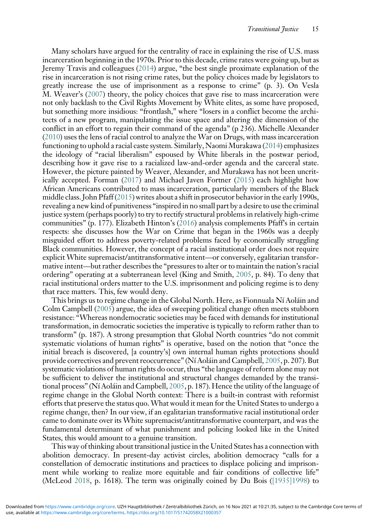Many scholars have argued for the centrality of race in explaining the rise of U.S. mass incarceration beginning in the 1970s. Prior to this decade, crime rates were going up, but as Jeremy Travis and colleagues ([2014](#page-22-14)) argue, "the best single proximate explanation of the rise in incarceration is not rising crime rates, but the policy choices made by legislators to greatly increase the use of imprisonment as a response to crime" (p. 3). On Vesla M. Weaver's ([2007](#page-22-15)) theory, the policy choices that gave rise to mass incarceration were not only backlash to the Civil Rights Movement by White elites, as some have proposed, but something more insidious: "frontlash," where "losers in a conflict become the architects of a new program, manipulating the issue space and altering the dimension of the conflict in an effort to regain their command of the agenda" (p 236). Michelle Alexander ([2010](#page-17-5)) uses the lens of racial control to analyze the War on Drugs, with mass incarceration functioning to uphold a racial caste system. Similarly, Naomi Murakawa [\(2014\)](#page-20-11) emphasizes the ideology of "racial liberalism" espoused by White liberals in the postwar period, describing how it gave rise to a racialized law-and-order agenda and the carceral state. However, the picture painted by Weaver, Alexander, and Murakawa has not been uncritically accepted. Forman [\(2017](#page-19-6)) and Michael Javen Fortner [\(2015\)](#page-19-26) each highlight how African Americans contributed to mass incarceration, particularly members of the Black middle class. John Pfaff [\(2015](#page-21-22)) writes about a shift in prosecutor behavior in the early 1990s, revealing a new kind of punitiveness "inspired in no small part by a desire to use the criminal justice system (perhaps poorly) to try to rectify structural problems in relatively high-crime communities" (p. 177). Elizabeth Hinton's ([2016](#page-19-10)) analysis complements Pfaff's in certain respects: she discusses how the War on Crime that began in the 1960s was a deeply misguided effort to address poverty-related problems faced by economically struggling Black communities. However, the concept of a racial institutional order does not require explicit White supremacist/antitransformative intent—or conversely, egalitarian transformative intent—but rather describes the "pressures to alter or to maintain the nation's racial ordering" operating at a subterranean level (King and Smith, [2005](#page-20-16), p. 84). To deny that racial institutional orders matter to the U.S. imprisonment and policing regime is to deny that race matters. This, few would deny.

This brings us to regime change in the Global North. Here, as Fionnuala Ní Aoláin and Colm Campbell ([2005](#page-21-2)) argue, the idea of sweeping political change often meets stubborn resistance: "Whereas nondemocratic societies may be faced with demands for institutional transformation, in democratic societies the imperative is typically to reform rather than to transform" (p. 187). A strong presumption that Global North countries "do not commit systematic violations of human rights" is operative, based on the notion that "once the initial breach is discovered, [a country's] own internal human rights protections should provide correctives and prevent reoccurrence" (Ní Aoláin and Campbell, [2005](#page-21-2), p. 207). But systematic violations of human rights do occur, thus "the language of reform alone may not be sufficient to deliver the institutional and structural changes demanded by the transitional process" (Ní Aoláin and Campbell, [2005,](#page-21-2) p. 187). Hence the utility of the language of regime change in the Global North context: There is a built-in contrast with reformist efforts that preserve the status quo. What would it mean for the United States to undergo a regime change, then? In our view, if an egalitarian transformative racial institutional order came to dominate over its White supremacist/antitransformative counterpart, and was the fundamental determinant of what punishment and policing looked like in the United States, this would amount to a genuine transition.

This way of thinking about transitional justice in the United States has a connection with abolition democracy. In present-day activist circles, abolition democracy "calls for a constellation of democratic institutions and practices to displace policing and imprisonment while working to realize more equitable and fair conditions of collective life" (McLeod [2018,](#page-20-17) p. 1618). The term was originally coined by Du Bois ([\[1935\]1998\)](#page-18-0) to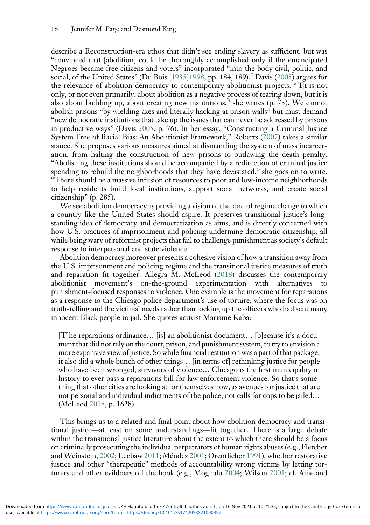describe a Reconstruction-era ethos that didn't see ending slavery as sufficient, but was "convinced that [abolition] could be thoroughly accomplished only if the emancipated Negroes became free citizens and voters" incorporated "into the body civil, politic, and social, of the United States" (Du Bois [\[1935\]1998](#page-18-0), pp. 184, 189).<sup>[5](#page-17-13)</sup> Davis [\(2005](#page-18-1)) argues for the relevance of abolition democracy to contemporary abolitionist projects. "[I]t is not only, or not even primarily, about abolition as a negative process of tearing down, but it is also about building up, about creating new institutions," she writes (p. 73). We cannot abolish prisons "by wielding axes and literally hacking at prison walls" but must demand "new democratic institutions that take up the issues that can never be addressed by prisons in productive ways" (Davis [2005](#page-18-1), p. 76). In her essay, "Constructing a Criminal Justice System Free of Racial Bias: An Abolitionist Framework," Roberts [\(2007\)](#page-21-6) takes a similar stance. She proposes various measures aimed at dismantling the system of mass incarceration, from halting the construction of new prisons to outlawing the death penalty. "Abolishing these institutions should be accompanied by a redirection of criminal justice spending to rebuild the neighborhoods that they have devastated," she goes on to write. "There should be a massive infusion of resources to poor and low-income neighborhoods to help residents build local institutions, support social networks, and create social citizenship" (p. 285).

We see abolition democracy as providing a vision of the kind of regime change to which a country like the United States should aspire. It preserves transitional justice's longstanding idea of democracy and democratization as aims, and is directly concerned with how U.S. practices of imprisonment and policing undermine democratic citizenship, all while being wary of reformist projects that fail to challenge punishment as society's default response to interpersonal and state violence.

Abolition democracy moreover presents a cohesive vision of how a transition away from the U.S. imprisonment and policing regime and the transitional justice measures of truth and reparation fit together. Allegra M. McLeod [\(2018\)](#page-20-17) discusses the contemporary abolitionist movement's on-the-ground experimentation with alternatives to punishment-focused responses to violence. One example is the movement for reparations as a response to the Chicago police department's use of torture, where the focus was on truth-telling and the victims' needs rather than locking up the officers who had sent many innocent Black people to jail. She quotes activist Mariame Kaba:

[T]he reparations ordinance… [is] an abolitionist document… [b]ecause it's a document that did not rely on the court, prison, and punishment system, to try to envision a more expansive view of justice. So while financial restitution was a part of that package, it also did a whole bunch of other things… [in terms of] rethinking justice for people who have been wronged, survivors of violence… Chicago is the first municipality in history to ever pass a reparations bill for law enforcement violence. So that's something that other cities are looking at for themselves now, as avenues for justice that are not personal and individual indictments of the police, not calls for cops to be jailed… (McLeod [2018,](#page-20-17) p. 1628).

This brings us to a related and final point about how abolition democracy and transitional justice—at least on some understandings—fit together. There is a large debate within the transitional justice literature about the extent to which there should be a focus on criminally prosecuting the individual perpetrators of human rights abuses (e.g., Fletcher and Weinstein, [2002](#page-19-27); Leebaw [2011](#page-20-18); Méndez [2001](#page-20-19); Orentlicher [1991](#page-21-23)), whether restorative justice and other "therapeutic" methods of accountability wrong victims by letting torturers and other evildoers off the hook (e.g., Moghalu [2004](#page-20-20); Wilson [2001;](#page-22-16) cf. Ame and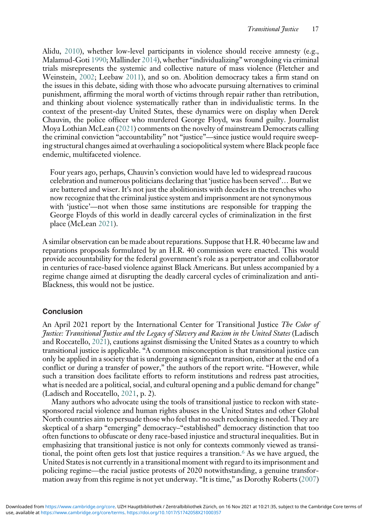Alidu, [2010](#page-17-14)), whether low-level participants in violence should receive amnesty (e.g., Malamud-Goti [1990;](#page-20-21) Mallinder [2014\)](#page-20-22), whether "individualizing" wrongdoing via criminal trials misrepresents the systemic and collective nature of mass violence (Fletcher and Weinstein, [2002](#page-19-27); Leebaw [2011](#page-20-18)), and so on. Abolition democracy takes a firm stand on the issues in this debate, siding with those who advocate pursuing alternatives to criminal punishment, affirming the moral worth of victims through repair rather than retribution, and thinking about violence systematically rather than in individualistic terms. In the context of the present-day United States, these dynamics were on display when Derek Chauvin, the police officer who murdered George Floyd, was found guilty. Journalist Moya Lothian McLean [\(2021](#page-20-23)) comments on the novelty of mainstream Democrats calling the criminal conviction "accountability" not "justice"—since justice would require sweeping structural changes aimed at overhauling a sociopolitical system where Black people face endemic, multifaceted violence.

Four years ago, perhaps, Chauvin's conviction would have led to widespread raucous celebration and numerous politicians declaring that 'justice has been served'… But we are battered and wiser. It's not just the abolitionists with decades in the trenches who now recognize that the criminal justice system and imprisonment are not synonymous with 'justice'—not when those same institutions are responsible for trapping the George Floyds of this world in deadly carceral cycles of criminalization in the first place (McLean [2021\)](#page-20-23).

A similar observation can be made about reparations. Suppose that H.R. 40 became law and reparations proposals formulated by an H.R. 40 commission were enacted. This would provide accountability for the federal government's role as a perpetrator and collaborator in centuries of race-based violence against Black Americans. But unless accompanied by a regime change aimed at disrupting the deadly carceral cycles of criminalization and anti-Blackness, this would not be justice.

## Conclusion

An April 2021 report by the International Center for Transitional Justice The Color of Justice: Transitional Justice and the Legacy of Slavery and Racism in the United States (Ladisch and Roccatello, [2021\)](#page-20-0), cautions against dismissing the United States as a country to which transitional justice is applicable. "A common misconception is that transitional justice can only be applied in a society that is undergoing a significant transition, either at the end of a conflict or during a transfer of power," the authors of the report write. "However, while such a transition does facilitate efforts to reform institutions and redress past atrocities, what is needed are a political, social, and cultural opening and a public demand for change" (Ladisch and Roccatello, [2021,](#page-20-0) p. 2).

Many authors who advocate using the tools of transitional justice to reckon with statesponsored racial violence and human rights abuses in the United States and other Global North countries aim to persuade those who feel that no such reckoning is needed. They are skeptical of a sharp "emerging" democracy–"established" democracy distinction that too often functions to obfuscate or deny race-based injustice and structural inequalities. But in emphasizing that transitional justice is not only for contexts commonly viewed as transi-tional, the point often gets lost that justice requires a transition.<sup>[6](#page-17-15)</sup> As we have argued, the United States is not currently in a transitional moment with regard to its imprisonment and policing regime—the racial justice protests of 2020 notwithstanding, a genuine transformation away from this regime is not yet underway. "It is time," as Dorothy Roberts ([2007](#page-21-6))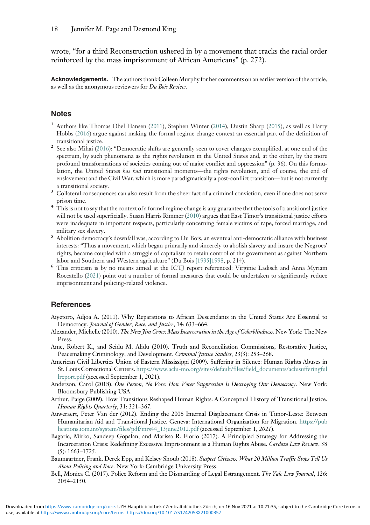wrote, "for a third Reconstruction ushered in by a movement that cracks the racial order reinforced by the mass imprisonment of African Americans" (p. 272).

Acknowledgements. The authors thank Colleen Murphy for her comments on an earlier version of the article, as well as the anonymous reviewers for Du Bois Review.

#### <span id="page-17-2"></span>**Notes**

- <sup>1</sup> Authors like Thomas Obel Hansen ([2011\)](#page-19-0), Stephen Winter ([2014](#page-22-1)), Dustin Sharp ([2015](#page-21-24)), as well as Harry Hobbs ([2016](#page-19-1)) argue against making the formal regime change context an essential part of the definition of
- <span id="page-17-4"></span>2 See also Mihai ([2016](#page-20-24)): "Democratic shifts are generally seen to cover changes exemplified, at one end of the spectrum, by such phenomena as the rights revolution in the United States and, at the other, by the more profound transformations of societies coming out of major conflict and oppression" (p. 36). On this formulation, the United States *has had* transitional moments—the rights revolution, and of course, the end of enslavement and the Civil War, which is more paradigmatically a post-conflict transition—but is not currently a transitional society.<br>3 Collateral consequences can also result from the sheer fact of a criminal conviction, even if one does not serve
- <span id="page-17-8"></span>
- <span id="page-17-12"></span>prison time. <sup>4</sup> This is not to say that the context of a formal regime change is any guarantee that the tools of transitional justice will not be used superficially. Susan Harris Rimmer [\(2010](#page-21-25)) argues that East Timor's transitional justice efforts were inadequate in important respects, particularly concerning female victims of rape, forced marriage, and military sex slavery.<br>Abolition democracy's downfall was, according to Du Bois, an eventual anti-democratic alliance with business
- <span id="page-17-13"></span>interests: "Thus a movement, which began primarily and sincerely to abolish slavery and insure the Negroes' rights, became coupled with a struggle of capitalism to retain control of the government as against Northern
- <span id="page-17-15"></span>labor and Southern and Western agriculture" (Du Bois [\[1935\]1998](#page-18-0), p. 214). <sup>6</sup> This criticism is by no means aimed at the ICTJ report referenced: Virginie Ladisch and Anna Myriam Roccatello ([2021\)](#page-20-0) point out a number of formal measures that could be undertaken to significantly reduce imprisonment and policing-related violence.

#### <span id="page-17-0"></span>References

- <span id="page-17-5"></span>Aiyetoro, Adjoa A. (2011). Why Reparations to African Descendants in the United States Are Essential to Democracy. Journal of Gender, Race, and Justice, 14: 633-664.
- <span id="page-17-14"></span>Alexander, Michelle (2010). The New Jim Crow: Mass Incarceration in the Age of Colorblindness. New York: The New Press.
- <span id="page-17-6"></span>Ame, Robert K., and Seidu M. Alidu (2010). Truth and Reconciliation Commissions, Restorative Justice, Peacemaking Criminology, and Development. Criminal Justice Studies, 23(3): 253-268.
- <span id="page-17-1"></span>American Civil Liberties Union of Eastern Mississippi (2009). Suffering in Silence: Human Rights Abuses in St. Louis Correctional Centers. [https://www.aclu-mo.org/sites/default/files/field\\_documents/aclusufferingful](https://www.aclu-mo.org/sites/default/files/field_documents/aclusufferingfullreport.pdf) [lreport.pdf](https://www.aclu-mo.org/sites/default/files/field_documents/aclusufferingfullreport.pdf) (accessed September 1, 2021).
- <span id="page-17-3"></span>Anderson, Carol (2018). One Person, No Vote: How Voter Suppression Is Destroying Our Democracy. New York: Bloomsbury Publishing USA.
- <span id="page-17-11"></span>Arthur, Paige (2009). How Transitions Reshaped Human Rights: A Conceptual History of Transitional Justice. Human Rights Quarterly, 31: 321–367.
- <span id="page-17-7"></span>Auweraert, Peter Van der (2012). Ending the 2006 Internal Displacement Crisis in Timor-Leste: Between Humanitarian Aid and Transitional Justice. Geneva: International Organization for Migration. [https://pub](https://publications.iom.int/system/files/pdf/mrs44_13june2012.pdf) [lications.iom.int/system/files/pdf/mrs44\\_13june2012.pdf](https://publications.iom.int/system/files/pdf/mrs44_13june2012.pdf) (accessed September 1, 2021).
- <span id="page-17-10"></span>Bagaric, Mirko, Sandeep Gopalan, and Marissa R. Florio (2017). A Principled Strategy for Addressing the Incarceration Crisis: Redefining Excessive Imprisonment as a Human Rights Abuse. Cardozo Law Review, 38 (5): 1663–1725.
- <span id="page-17-9"></span>Baumgartner, Frank, Derek Epp, and Kelsey Shoub (2018). Suspect Citizens: What 20 Million Traffic Stops Tell Us About Policing and Race. New York: Cambridge University Press.
- Bell, Monica C. (2017). Police Reform and the Dismantling of Legal Estrangement. The Yale Law Journal, 126: 2054–2150.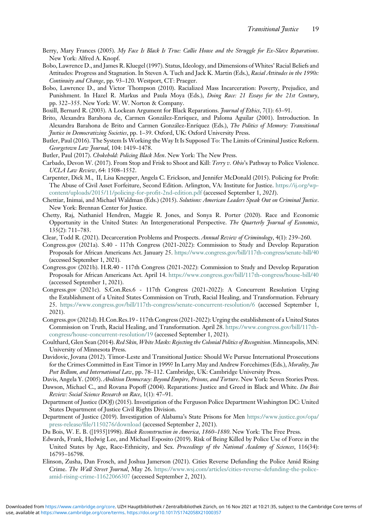- <span id="page-18-23"></span>Berry, Mary Frances (2005). My Face Is Black Is True: Callie House and the Struggle for Ex-Slave Reparations. New York: Alfred A. Knopf.
- <span id="page-18-2"></span>Bobo, Lawrence D., and James R. Kluegel (1997). Status, Ideology, and Dimensions of Whites' Racial Beliefs and Attitudes: Progress and Stagnation. In Steven A. Tuch and Jack K. Martin (Eds.), Racial Attitudes in the 1990s: Continuity and Change, pp. 93–120. Westport, CT: Praeger.
- <span id="page-18-5"></span>Bobo, Lawrence D., and Victor Thompson (2010). Racialized Mass Incarceration: Poverty, Prejudice, and Punishment. In Hazel R. Markus and Paula Moya (Eds.), Doing Race: 21 Essays for the 21st Century, pp. 322–355. New York: W. W. Norton & Company.
- <span id="page-18-24"></span>Boxill, Bernard R. (2003). A Lockean Argument for Black Reparations. Journal of Ethics, 7(1): 63-91.
- <span id="page-18-3"></span>Brito, Alexandra Barahona de, Carmen González-Enríquez, and Paloma Aguilar (2001). Introduction. In Alexandra Barahona de Brito and Carmen González-Enríquez (Eds.), The Politics of Memory: Transitional Justice in Democratizing Societies, pp. 1–39. Oxford, UK: Oxford University Press.
- <span id="page-18-6"></span>Butler, Paul (2016). The System Is Working the Way It Is Supposed To: The Limits of Criminal Justice Reform. Georgetown Law Journal, 104: 1419–1478.
- <span id="page-18-7"></span>Butler, Paul (2017). Chokehold: Policing Black Men. New York: The New Press.
- <span id="page-18-8"></span>Carbado, Devon W. (2017). From Stop and Frisk to Shoot and Kill: Terry v. Ohio's Pathway to Police Violence. UCLA Law Review, 64: 1508–1552.
- <span id="page-18-12"></span>Carpenter, Dick M., II, Lisa Knepper, Angela C. Erickson, and Jennifer McDonald (2015). Policing for Profit: The Abuse of Civil Asset Forfeiture, Second Edition. Arlington, VA: Institute for Justice. [https://ij.org/wp](https://ij.org/wp-content/uploads/2015/11/policing-for-profit-2nd-edition.pdf)[content/uploads/2015/11/policing-for-profit-2nd-edition.pdf](https://ij.org/wp-content/uploads/2015/11/policing-for-profit-2nd-edition.pdf) (accessed September 1, 2021).
- <span id="page-18-14"></span>Chettiar, Inimai, and Michael Waldman (Eds.) (2015). Solutions: American Leaders Speak Out on Criminal Justice. New York: Brennan Center for Justice.
- <span id="page-18-10"></span>Chetty, Raj, Nathaniel Hendren, Maggie R. Jones, and Sonya R. Porter (2020). Race and Economic Opportunity in the United States: An Intergenerational Perspective. The Quarterly Journal of Economics, 135(2): 711–783.
- <span id="page-18-13"></span>Clear, Todd R. (2021). Decarceration Problems and Prospects. Annual Review of Criminology, 4(1): 239–260.
- <span id="page-18-18"></span>Congress.gov (2021a). S.40 - 117th Congress (2021-2022): Commission to Study and Develop Reparation Proposals for African Americans Act. January 25. <https://www.congress.gov/bill/117th-congress/senate-bill/40> (accessed September 1, 2021).
- <span id="page-18-19"></span>Congress.gov (2021b). H.R.40 - 117th Congress (2021-2022): Commission to Study and Develop Reparation Proposals for African Americans Act. April 14. <https://www.congress.gov/bill/117th-congress/house-bill/40> (accessed September 1, 2021).
- <span id="page-18-20"></span>Congress.gov (2021c). S.Con.Res.6 - 117th Congress (2021-2022): A Concurrent Resolution Urging the Establishment of a United States Commission on Truth, Racial Healing, and Transformation. February 25. <https://www.congress.gov/bill/117th-congress/senate-concurrent-resolution/6> (accessed September 1, 2021).
- <span id="page-18-21"></span>Congress.gov (2021d). H.Con.Res.19 - 117th Congress (2021-2022): Urging the establishment of a United States Commission on Truth, Racial Healing, and Transformation. April 28. [https://www.congress.gov/bill/117th](https://www.congress.gov/bill/117th-congress/house-concurrent-resolution/19)[congress/house-concurrent-resolution/19](https://www.congress.gov/bill/117th-congress/house-concurrent-resolution/19) (accessed September 1, 2021).
- <span id="page-18-17"></span>Coulthard, Glen Sean (2014). Red Skin, White Masks: Rejecting the Colonial Politics of Recognition. Minneapolis, MN: University of Minnesota Press.
- <span id="page-18-16"></span>Davidovic, Jovana (2012). Timor-Leste and Transitional Justice: Should We Pursue International Prosecutions for the Crimes Committed in East Timor in 1999? In Larry May and Andrew Forcehimes (Eds.), Morality, Jus Post Bellum, and International Law, pp. 78-112. Cambridge, UK: Cambridge University Press.
- <span id="page-18-1"></span>Davis, Angela Y. (2005). Abolition Democracy: Beyond Empire, Prisons, and Torture. New York: Seven Stories Press.
- <span id="page-18-22"></span>Dawson, Michael C., and Rovana Popoff (2004). Reparations: Justice and Greed in Black and White. Du Bois Review: Social Science Research on Race, 1(1): 47–91.
- <span id="page-18-11"></span>Department of Justice (DOJ) (2015). Investigation of the Ferguson Police Department Washington DC: United States Department of Justice Civil Rights Division.
- <span id="page-18-9"></span>Department of Justice (2019). Investigation of Alabama's State Prisons for Men [https://www.justice.gov/opa/](https://www.justice.gov/opa/press-release/file/1150276/download) [press-release/file/1150276/download](https://www.justice.gov/opa/press-release/file/1150276/download) (accessed September 2, 2021).
- <span id="page-18-4"></span><span id="page-18-0"></span>Du Bois, W. E. B. ([1935]1998). Black Reconstruction in America, 1860–1880. New York: The Free Press.
- Edwards, Frank, Hedwig Lee, and Michael Esposito (2019). Risk of Being Killed by Police Use of Force in the United States by Age, Race-Ethnicity, and Sex. Proceedings of the National Academy of Sciences, 116(34): 16793–16798.
- <span id="page-18-15"></span>Elinson, Zusha, Dan Frosch, and Joshua Jamerson (2021). Cities Reverse Defunding the Police Amid Rising Crime. The Wall Street Journal, May 26. [https://www.wsj.com/articles/cities-reverse-defunding-the-police](https://www.wsj.com/articles/cities-reverse-defunding-the-police-amid-rising-crime-11622066307)[amid-rising-crime-11622066307](https://www.wsj.com/articles/cities-reverse-defunding-the-police-amid-rising-crime-11622066307) (accessed September 2, 2021).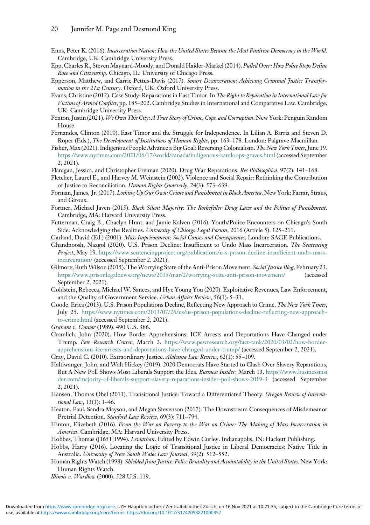- <span id="page-19-19"></span>Enns, Peter K. (2016). Incarceration Nation: How the United States Became the Most Punitive Democracy in the World. Cambridge, UK: Cambridge University Press.
- <span id="page-19-8"></span>Epp, Charles R., Steven Maynard-Moody, and Donald Haider-Markel (2014). Pulled Over: How Police Stops Define Race and Citizenship. Chicago, IL: University of Chicago Press.
- <span id="page-19-17"></span>Epperson, Matthew, and Carrie Pettus-Davis (2017). Smart Decarceration: Achieving Criminal Justice Transformation in the 21st Century. Oxford, UK: Oxford University Press.
- <span id="page-19-20"></span>Evans, Christine (2012). Case Study: Reparations in East Timor. In The Right to Reparation in International Law for Victims of Armed Conflict, pp. 185-202. Cambridge Studies in International and Comparative Law. Cambridge, UK: Cambridge University Press.
- <span id="page-19-13"></span>Fenton, Justin (2021). We Own This City: A True Story of Crime, Cops, and Corruption. New York: Penguin Random House.
- <span id="page-19-21"></span>Fernandes, Clinton (2010). East Timor and the Struggle for Independence. In Lilian A. Barria and Steven D. Roper (Eds.), The Development of Institutions of Human Rights, pp. 163-178. London: Palgrave Macmillan.
- <span id="page-19-23"></span>Fisher, Max (2021). Indigenous People Advance a Big Goal: Reversing Colonialism. The New York Times, June 19. <https://www.nytimes.com/2021/06/17/world/canada/indigenous-kamloops-graves.html> (accessed September 2, 2021).
- <span id="page-19-24"></span>Flanigan, Jessica, and Christopher Freiman (2020). Drug War Reparations. Res Philosophica, 97(2): 141–168.
- <span id="page-19-27"></span>Fletcher, Laurel E., and Harvey M. Weinstein (2002). Violence and Social Repair: Rethinking the Contribution of Justice to Reconciliation. Human Rights Quarterly, 24(3): 573–639.
- <span id="page-19-6"></span>Forman, James, Jr. (2017). Locking Up Our Own: Crime and Punishment in Black America. New York: Farrar, Straus, and Giroux.
- <span id="page-19-26"></span>Fortner, Michael Javen (2015). Black Silent Majority: The Rockefeller Drug Laws and the Politics of Punishment. Cambridge, MA: Harvard University Press.
- <span id="page-19-12"></span>Futterman, Craig B., Chaclyn Hunt, and Jamie Kalven (2016). Youth/Police Encounters on Chicago's South Side: Acknowledging the Realities. University of Chicago Legal Forum, 2016 (Article 5): 125-211.
- <span id="page-19-9"></span>Garland, David (Ed.) (2001). Mass Imprisonment: Social Causes and Consequences. London: SAGE Publications.
- <span id="page-19-16"></span>Ghandnoosh, Nazgol (2020). U.S. Prison Decline: Insufficient to Undo Mass Incarceration. The Sentencing Project, May 19. [https://www.sentencingproject.org/publications/u-s-prison-decline-insufficient-undo-mass](https://www.sentencingproject.org/publications/u-s-prison-decline-insufficient-undo-mass-incarceration/)[incarceration/](https://www.sentencingproject.org/publications/u-s-prison-decline-insufficient-undo-mass-incarceration/) (accessed September 2, 2021).
- <span id="page-19-18"></span>Gilmore, Ruth Wilson (2015). The Worrying State of the Anti-Prison Movement. Social Justice Blog, February 23. <https://www.prisonlegalnews.org/news/2015/mar/2/worrying-state-anti-prison-movement/> (accessed September 2, 2021).
- <span id="page-19-14"></span>Goldstein, Rebecca, Michael W. Sances, and Hye Young You (2020). Exploitative Revenues, Law Enforcement, and the Quality of Government Service. Urban Affairs Review, 56(1): 5–31.
- <span id="page-19-15"></span>Goode, Erica (2013). U.S. Prison Populations Decline, Reflecting New Approach to Crime. The New York Times, July 25. [https://www.nytimes.com/2013/07/26/us/us-prison-populations-decline-reflecting-new-approach](https://www.nytimes.com/2013/07/26/us/us-prison-populations-decline-reflecting-new-approach-to-crime.html)[to-crime.html](https://www.nytimes.com/2013/07/26/us/us-prison-populations-decline-reflecting-new-approach-to-crime.html) (accessed September 2, 2021).
- <span id="page-19-3"></span>Graham v. Connor (1989). 490 U.S. 386.
- <span id="page-19-5"></span>Gramlich, John (2020). How Border Apprehensions, ICE Arrests and Deportations Have Changed under Trump. Pew Research Center, March 2. [https://www.pewresearch.org/fact-tank/2020/03/02/how-border](https://www.pewresearch.org/fact-tank/2020/03/02/how-border-apprehensions-ice-arrests-and-deportations-have-changed-under-trump/)[apprehensions-ice-arrests-and-deportations-have-changed-under-trump/](https://www.pewresearch.org/fact-tank/2020/03/02/how-border-apprehensions-ice-arrests-and-deportations-have-changed-under-trump/) (accessed September 2, 2021).

<span id="page-19-22"></span>Gray, David C. (2010). Extraordinary Justice. Alabama Law Review, 62(1): 55–109.

- <span id="page-19-25"></span>Haltiwanger, John, and Walt Hickey (2019). 2020 Democrats Have Started to Clash Over Slavery Reparations, But A New Poll Shows Most Liberals Support the Idea. Business Insider, March 13. [https://www.businessinsi](https://www.businessinsider.com/majority-of-liberals-support-slavery-reparations-insider-poll-shows-2019-3) [der.com/majority-of-liberals-support-slavery-reparations-insider-poll-shows-2019-3](https://www.businessinsider.com/majority-of-liberals-support-slavery-reparations-insider-poll-shows-2019-3) (accessed September 2, 2021).
- <span id="page-19-0"></span>Hansen, Thomas Obel (2011). Transitional Justice: Toward a Differentiated Theory. Oregon Review of International Law, 13(1): 1–46.
- <span id="page-19-4"></span>Heaton, Paul, Sandra Mayson, and Megan Stevenson (2017). The Downstream Consequences of Misdemeanor Pretrial Detention. Stanford Law Review, 69(3): 711–794.
- <span id="page-19-10"></span>Hinton, Elizabeth (2016). From the War on Poverty to the War on Crime: The Making of Mass Incarceration in America. Cambridge, MA: Harvard University Press.
- <span id="page-19-11"></span>Hobbes, Thomas ([1651]1994). Leviathan. Edited by Edwin Curley. Indianapolis, IN: Hackett Publishing.
- <span id="page-19-1"></span>Hobbs, Harry (2016). Locating the Logic of Transitional Justice in Liberal Democracies: Native Title in Australia. University of New South Wales Law Journal, 39(2): 512–552.
- <span id="page-19-2"></span>Human Rights Watch (1998). Shielded from Justice: Police Brutality and Accountability in the United States. New York: Human Rights Watch.
- <span id="page-19-7"></span>Illinois v. Wardlow (2000). 528 U.S. 119.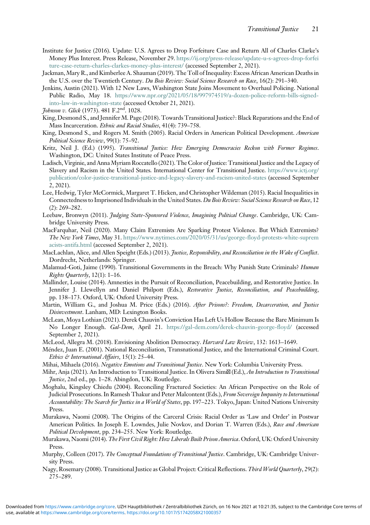- <span id="page-20-12"></span>Institute for Justice (2016). Update: U.S. Agrees to Drop Forfeiture Case and Return All of Charles Clarke's Money Plus Interest. Press Release, November 29. [https://ij.org/press-release/update-u-s-agrees-drop-forfei](https://ij.org/press-release/update-u-s-agrees-drop-forfeiture-case-return-charles-clarkes-money-plus-interest/) [ture-case-return-charles-clarkes-money-plus-interest/](https://ij.org/press-release/update-u-s-agrees-drop-forfeiture-case-return-charles-clarkes-money-plus-interest/) (accessed September 2, 2021).
- <span id="page-20-8"></span>Jackman, Mary R., and Kimberlee A. Shauman (2019). The Toll of Inequality: Excess African American Deaths in the U.S. over the Twentieth Century. Du Bois Review: Social Science Research on Race, 16(2): 291-340.
- <span id="page-20-14"></span>Jenkins, Austin (2021). With 12 New Laws, Washington State Joins Movement to Overhaul Policing. National Public Radio, May 18. [https://www.npr.org/2021/05/18/997974519/a-dozen-police-reform-bills-signed](https://www.npr.org/2021/05/18/997974519/a-dozen-police-reform-bills-signed-into-law-in-washington-state)[into-law-in-washington-state](https://www.npr.org/2021/05/18/997974519/a-dozen-police-reform-bills-signed-into-law-in-washington-state) (accessed October 21, 2021).
- <span id="page-20-7"></span>Johnson v. Glick (1973). 481 F.2nd. 1028.
- <span id="page-20-3"></span>King, Desmond S., and Jennifer M. Page (2018). Towards Transitional Justice?: Black Reparations and the End of Mass Incarceration. Ethnic and Racial Studies, 41(4): 739–758.
- <span id="page-20-16"></span>King, Desmond S., and Rogers M. Smith (2005). Racial Orders in American Political Development. American Political Science Review, 99(1): 75–92.
- <span id="page-20-4"></span>Kritz, Neil J. (Ed.) (1995). Transitional Justice: How Emerging Democracies Reckon with Former Regimes. Washington, DC: United States Institute of Peace Press.
- <span id="page-20-0"></span>Ladisch, Virginie, and Anna Myriam Roccatello (2021). The Color of Justice: Transitional Justice and the Legacy of Slavery and Racism in the United States. International Center for Transitional Justice. [https://www.ictj.org/](https://www.ictj.org/publication/color-justice-transitional-justice-and-legacy-slavery-and-racism-united-states) [publication/color-justice-transitional-justice-and-legacy-slavery-and-racism-united-states](https://www.ictj.org/publication/color-justice-transitional-justice-and-legacy-slavery-and-racism-united-states) (accessed September 2, 2021).
- <span id="page-20-9"></span>Lee, Hedwig, Tyler McCormick, Margaret T. Hicken, and Christopher Wildeman (2015). Racial Inequalities in Connectedness to Imprisoned Individuals in the United States. Du Bois Review: Social Science Research on Race, 12 (2): 269–282.
- <span id="page-20-18"></span>Leebaw, Bronwyn (2011). *Judging State-Sponsored Violence, Imagining Political Change*. Cambridge, UK: Cambridge University Press.
- <span id="page-20-13"></span>MacFarquhar, Neil (2020). Many Claim Extremists Are Sparking Protest Violence. But Which Extremists? The New York Times, May 31. [https://www.nytimes.com/2020/05/31/us/george-floyd-protests-white-suprem](https://www.nytimes.com/2020/05/31/us/george-floyd-protests-white-supremacists-antifa.html) [acists-antifa.html](https://www.nytimes.com/2020/05/31/us/george-floyd-protests-white-supremacists-antifa.html) (accessed September 2, 2021).
- <span id="page-20-6"></span>MacLachlan, Alice, and Allen Speight (Eds.) (2013). Justice, Responsibility, and Reconciliation in the Wake of Conflict. Dordrecht, Netherlands: Springer.
- <span id="page-20-21"></span>Malamud-Goti, Jaime (1990). Transitional Governments in the Breach: Why Punish State Criminals? Human Rights Quarterly, 12(1): 1–16.
- <span id="page-20-22"></span>Mallinder, Louise (2014). Amnesties in the Pursuit of Reconciliation, Peacebuilding, and Restorative Justice. In Jennifer J. Llewellyn and Daniel Philpott (Eds.), Restorative Justice, Reconciliation, and Peacebuilding, pp. 138–173. Oxford, UK: Oxford University Press.
- <span id="page-20-15"></span>Martin, William G., and Joshua M. Price (Eds.) (2016). After Prisons?: Freedom, Decarceration, and Justice Disinvestment. Lanham, MD: Lexington Books.
- <span id="page-20-23"></span>McLean, Moya Lothian (2021). Derek Chauvin's Conviction Has Left Us Hollow Because the Bare Minimum Is No Longer Enough. Gal-Dem, April 21. <https://gal-dem.com/derek-chauvin-george-floyd/> (accessed September 2, 2021).
- <span id="page-20-17"></span>McLeod, Allegra M. (2018). Envisioning Abolition Democracy. Harvard Law Review, 132: 1613–1649.
- <span id="page-20-19"></span>Méndez, Juan E. (2001). National Reconciliation, Transnational Justice, and the International Criminal Court. Ethics & International Affairs, 15(1): 25–44.
- <span id="page-20-24"></span><span id="page-20-5"></span>Mihai, Mihaela (2016). Negative Emotions and Transitional Justice. New York: Columbia University Press.
- Mihr, Anja (2021). An Introduction to Transitional Justice. In Olivera Simil (Ed.), An Introduction to Transitional Justice, 2nd ed., pp. 1–28. Abingdon, UK: Routledge.
- <span id="page-20-20"></span>Moghalu, Kingsley Chiedu (2004). Reconciling Fractured Societies: An African Perspective on the Role of Judicial Prosecutions. In Ramesh Thakur and Peter Malcontent (Eds.), From Sovereign Impunity to International Accountability: The Search for Justice in a World of States, pp. 197-223. Tokyo, Japan: United Nations University Press.
- <span id="page-20-10"></span>Murakawa, Naomi (2008). The Origins of the Carceral Crisis: Racial Order as 'Law and Order' in Postwar American Politics. In Joseph E. Lowndes, Julie Novkov, and Dorian T. Warren (Eds.), Race and American Political Development, pp. 234–255. New York: Routledge.
- <span id="page-20-11"></span>Murakawa, Naomi (2014). The First Civil Right: How Liberals Built Prison America. Oxford, UK: Oxford University Press.
- <span id="page-20-2"></span>Murphy, Colleen (2017). The Conceptual Foundations of Transitional Justice. Cambridge, UK: Cambridge University Press.
- <span id="page-20-1"></span>Nagy, Rosemary (2008). Transitional Justice as Global Project: Critical Reflections. Third World Quarterly, 29(2): 275–289.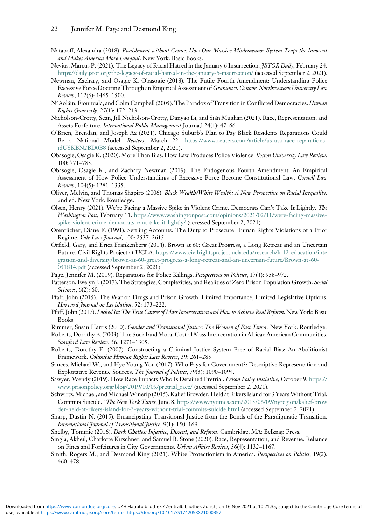- <span id="page-21-12"></span>Natapoff, Alexandra (2018). Punishment without Crime: How Our Massive Misdemeanor System Traps the Innocent and Makes America More Unequal. New York: Basic Books.
- <span id="page-21-0"></span>Nevius, Marcus P. (2021). The Legacy of Racial Hatred in the January 6 Insurrection. *JSTOR Daily*, February 24. <https://daily.jstor.org/the-legacy-of-racial-hatred-in-the-january-6-insurrection/> (accessed September 2, 2021).
- <span id="page-21-3"></span>Newman, Zachary, and Osagie K. Obasogie (2018). The Futile Fourth Amendment: Understanding Police Excessive Force Doctrine Through an Empirical Assessment of Graham v. Connor. Northwestern University Law Review, 112(6): 1465–1500.
- <span id="page-21-2"></span>Ní Aoláin, Fionnuala, and Colm Campbell (2005). The Paradox of Transition in Conflicted Democracies. Human Rights Quarterly, 27(1): 172–213.
- <span id="page-21-15"></span>Nicholson-Crotty, Sean, Jill Nicholson-Crotty, Danyao Li, and Siân Mughan (2021). Race, Representation, and Assets Forfeiture. International Public Management Journa,l 24(1): 47–66.
- <span id="page-21-21"></span>O'Brien, Brendan, and Joseph Ax (2021). Chicago Suburb's Plan to Pay Black Residents Reparations Could Be a National Model. Reuters, March 22. [https://www.reuters.com/article/us-usa-race-reparations](https://www.reuters.com/article/us-usa-race-reparations-idUSKBN2BD0B8)[idUSKBN2BD0B8](https://www.reuters.com/article/us-usa-race-reparations-idUSKBN2BD0B8) (accessed September 2, 2021).
- <span id="page-21-5"></span>Obasogie, Osagie K. (2020). More Than Bias: How Law Produces Police Violence. Boston University Law Review, 100: 771–785.
- <span id="page-21-4"></span>Obasogie, Osagie K., and Zachary Newman (2019). The Endogenous Fourth Amendment: An Empirical Assessment of How Police Understandings of Excessive Force Become Constitutional Law. Cornell Law Review, 104(5): 1281–1335.
- <span id="page-21-9"></span>Oliver, Melvin, and Thomas Shapiro (2006). Black Wealth/White Wealth: A New Perspective on Racial Inequality. 2nd ed. New York: Routledge.
- <span id="page-21-19"></span>Olsen, Henry (2021). We're Facing a Massive Spike in Violent Crime. Democrats Can't Take It Lightly. The Washington Post, February 11. [https://www.washingtonpost.com/opinions/2021/02/11/were-facing-massive](https://www.washingtonpost.com/opinions/2021/02/11/were-facing-massive-spike-violent-crime-democrats-cant-take-it-lightly/)[spike-violent-crime-democrats-cant-take-it-lightly/](https://www.washingtonpost.com/opinions/2021/02/11/were-facing-massive-spike-violent-crime-democrats-cant-take-it-lightly/) (accessed September 2, 2021).
- <span id="page-21-23"></span>Orentlicher, Diane F. (1991). Settling Accounts: The Duty to Prosecute Human Rights Violations of a Prior Regime. Yale Law Journal, 100: 2537–2615.
- <span id="page-21-10"></span>Orfield, Gary, and Erica Frankenberg (2014). Brown at 60: Great Progress, a Long Retreat and an Uncertain Future. Civil Rights Project at UCLA. [https://www.civilrightsproject.ucla.edu/research/k-12-education/inte](https://www.civilrightsproject.ucla.edu/research/k-12-education/integration-and-diversity/brown-at-60-great-progress-a-long-retreat-and-an-uncertain-future/Brown-at-60-051814.pdf) [gration-and-diversity/brown-at-60-great-progress-a-long-retreat-and-an-uncertain-future/Brown-at-60-](https://www.civilrightsproject.ucla.edu/research/k-12-education/integration-and-diversity/brown-at-60-great-progress-a-long-retreat-and-an-uncertain-future/Brown-at-60-051814.pdf) [051814.pdf](https://www.civilrightsproject.ucla.edu/research/k-12-education/integration-and-diversity/brown-at-60-great-progress-a-long-retreat-and-an-uncertain-future/Brown-at-60-051814.pdf) (accessed September 2, 2021).
- <span id="page-21-20"></span>Page, Jennifer M. (2019). Reparations for Police Killings. Perspectives on Politics, 17(4): 958–972.
- <span id="page-21-17"></span>Patterson, Evelyn J. (2017). The Strategies, Complexities, and Realities of Zero Prison Population Growth. Social Sciences, 6(2): 60.
- <span id="page-21-22"></span>Pfaff, John (2015). The War on Drugs and Prison Growth: Limited Importance, Limited Legislative Options. Harvard Journal on Legislation, 52: 173-222.
- <span id="page-21-18"></span>Pfaff, John (2017). Locked In: The True Causes of Mass Incarceration and How to Achieve Real Reform. New York: Basic Books.
- <span id="page-21-25"></span>Rimmer, Susan Harris (2010). Gender and Transitional Justice: The Women of East Timor. New York: Routledge.
- <span id="page-21-11"></span>Roberts, Dorothy E. (2003). The Social and Moral Cost of Mass Incarceration in African American Communities. Stanford Law Review, 56: 1271–1305.
- <span id="page-21-6"></span>Roberts, Dorothy E. (2007). Constructing a Criminal Justice System Free of Racial Bias: An Abolitionist Framework. Columbia Human Rights Law Review, 39: 261–285.
- <span id="page-21-13"></span>Sances, Michael W., and Hye Young You (2017). Who Pays for Government?: Descriptive Representation and Exploitative Revenue Sources. The Journal of Politics, 79(3): 1090-1094.
- <span id="page-21-8"></span>Sawyer, Wendy (2019). How Race Impacts Who Is Detained Pretrial. Prison Policy Initiative, October 9. [https://](https://www.prisonpolicy.org/blog/2019/10/09/pretrial_race/) [www.prisonpolicy.org/blog/2019/10/09/pretrial\\_race/](https://www.prisonpolicy.org/blog/2019/10/09/pretrial_race/) (accessed September 2, 2021).
- <span id="page-21-7"></span>Schwirtz, Michael, and Michael Winerip (2015). Kalief Browder, Held at Rikers Island for 3 Years Without Trial, Commits Suicide." The New York Times, June 8. [https://www.nytimes.com/2015/06/09/nyregion/kalief-brow](https://www.nytimes.com/2015/06/09/nyregion/kalief-browder-held-at-rikers-island-for-3-years-without-trial-commits-suicide.html) [der-held-at-rikers-island-for-3-years-without-trial-commits-suicide.html](https://www.nytimes.com/2015/06/09/nyregion/kalief-browder-held-at-rikers-island-for-3-years-without-trial-commits-suicide.html) (accessed September 2, 2021).
- <span id="page-21-24"></span>Sharp, Dustin N. (2015). Emancipating Transitional Justice from the Bonds of the Paradigmatic Transition. International Journal of Transitional Justice, 9(1): 150-169.
- <span id="page-21-16"></span>Shelby, Tommie (2016). Dark Ghettos: Injustice, Dissent, and Reform. Cambridge, MA: Belknap Press.
- <span id="page-21-14"></span>Singla, Akheil, Charlotte Kirschner, and Samuel B. Stone (2020). Race, Representation, and Revenue: Reliance on Fines and Forfeitures in City Governments. Urban Affairs Review, 56(4): 1132–1167.
- <span id="page-21-1"></span>Smith, Rogers M., and Desmond King (2021). White Protectionism in America. Perspectives on Politics, 19(2): 460–478.